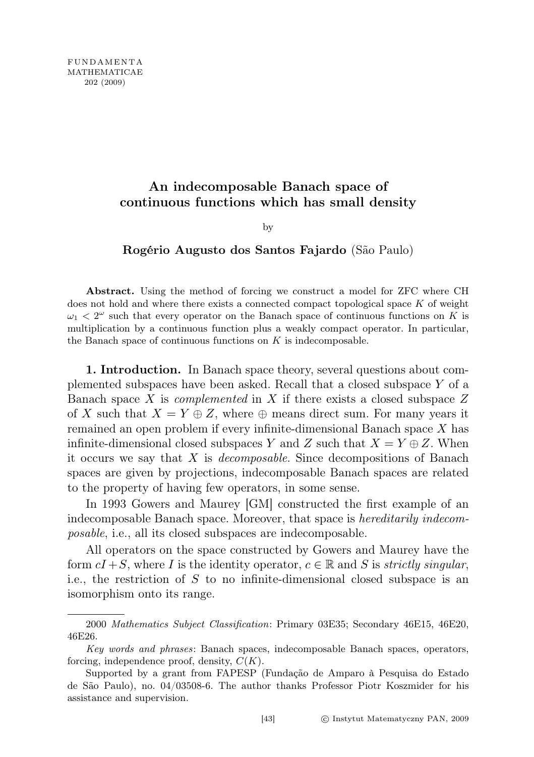## An indecomposable Banach space of continuous functions which has small density

by

## Rogério Augusto dos Santos Fajardo (São Paulo)

Abstract. Using the method of forcing we construct a model for ZFC where CH does not hold and where there exists a connected compact topological space K of weight  $\omega_1 < 2^{\omega}$  such that every operator on the Banach space of continuous functions on K is multiplication by a continuous function plus a weakly compact operator. In particular, the Banach space of continuous functions on  $K$  is indecomposable.

1. Introduction. In Banach space theory, several questions about complemented subspaces have been asked. Recall that a closed subspace Y of a Banach space X is *complemented* in X if there exists a closed subspace  $Z$ of X such that  $X = Y \oplus Z$ , where  $\oplus$  means direct sum. For many years it remained an open problem if every infinite-dimensional Banach space X has infinite-dimensional closed subspaces Y and Z such that  $X = Y \oplus Z$ . When it occurs we say that  $X$  is *decomposable*. Since decompositions of Banach spaces are given by projections, indecomposable Banach spaces are related to the property of having few operators, in some sense.

In 1993 Gowers and Maurey [GM] constructed the first example of an indecomposable Banach space. Moreover, that space is hereditarily indecomposable, i.e., all its closed subspaces are indecomposable.

All operators on the space constructed by Gowers and Maurey have the form  $cI + S$ , where I is the identity operator,  $c \in \mathbb{R}$  and S is *strictly singular*, i.e., the restriction of S to no infinite-dimensional closed subspace is an isomorphism onto its range.

<sup>2000</sup> Mathematics Subject Classification: Primary 03E35; Secondary 46E15, 46E20, 46E26.

Key words and phrases: Banach spaces, indecomposable Banach spaces, operators, forcing, independence proof, density,  $C(K)$ .

Supported by a grant from FAPESP (Fundação de Amparo à Pesquisa do Estado de São Paulo), no. 04/03508-6. The author thanks Professor Piotr Koszmider for his assistance and supervision.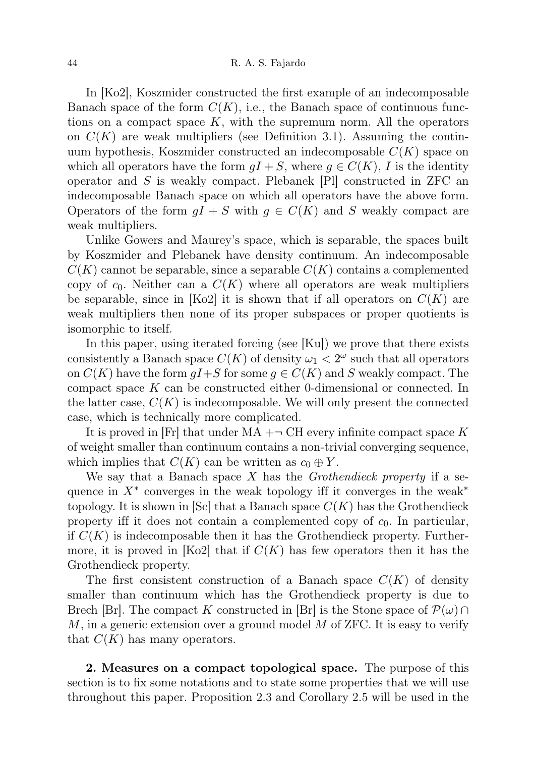In [Ko2], Koszmider constructed the first example of an indecomposable Banach space of the form  $C(K)$ , i.e., the Banach space of continuous functions on a compact space  $K$ , with the supremum norm. All the operators on  $C(K)$  are weak multipliers (see Definition 3.1). Assuming the continuum hypothesis, Koszmider constructed an indecomposable  $C(K)$  space on which all operators have the form  $qI + S$ , where  $q \in C(K)$ , I is the identity operator and  $S$  is weakly compact. Plebanek [Pl] constructed in ZFC and indecomposable Banach space on which all operators have the above form. Operators of the form  $gI + S$  with  $g \in C(K)$  and S weakly compact are weak multipliers.

Unlike Gowers and Maurey's space, which is separable, the spaces built by Koszmider and Plebanek have density continuum. An indecomposable  $C(K)$  cannot be separable, since a separable  $C(K)$  contains a complemented copy of  $c_0$ . Neither can a  $C(K)$  where all operators are weak multipliers be separable, since in [Ko2] it is shown that if all operators on  $C(K)$  are weak multipliers then none of its proper subspaces or proper quotients is isomorphic to itself.

In this paper, using iterated forcing (see [Ku]) we prove that there exists consistently a Banach space  $C(K)$  of density  $\omega_1 < 2^{\omega}$  such that all operators on  $C(K)$  have the form  $qI+S$  for some  $q \in C(K)$  and S weakly compact. The compact space K can be constructed either 0-dimensional or connected. In the latter case,  $C(K)$  is indecomposable. We will only present the connected case, which is technically more complicated.

It is proved in  $|F_r|$  that under  $MA + \neg CH$  every infinite compact space K of weight smaller than continuum contains a non-trivial converging sequence, which implies that  $C(K)$  can be written as  $c_0 \oplus Y$ .

We say that a Banach space  $X$  has the *Grothendieck property* if a sequence in  $X^*$  converges in the weak topology iff it converges in the weak<sup>\*</sup> topology. It is shown in  $|Sc|$  that a Banach space  $C(K)$  has the Grothendieck property iff it does not contain a complemented copy of  $c_0$ . In particular, if  $C(K)$  is indecomposable then it has the Grothendieck property. Furthermore, it is proved in [Ko2] that if  $C(K)$  has few operators then it has the Grothendieck property.

The first consistent construction of a Banach space  $C(K)$  of density smaller than continuum which has the Grothendieck property is due to Brech [Br]. The compact K constructed in [Br] is the Stone space of  $\mathcal{P}(\omega) \cap$  $M$ , in a generic extension over a ground model  $M$  of ZFC. It is easy to verify that  $C(K)$  has many operators.

2. Measures on a compact topological space. The purpose of this section is to fix some notations and to state some properties that we will use throughout this paper. Proposition 2.3 and Corollary 2.5 will be used in the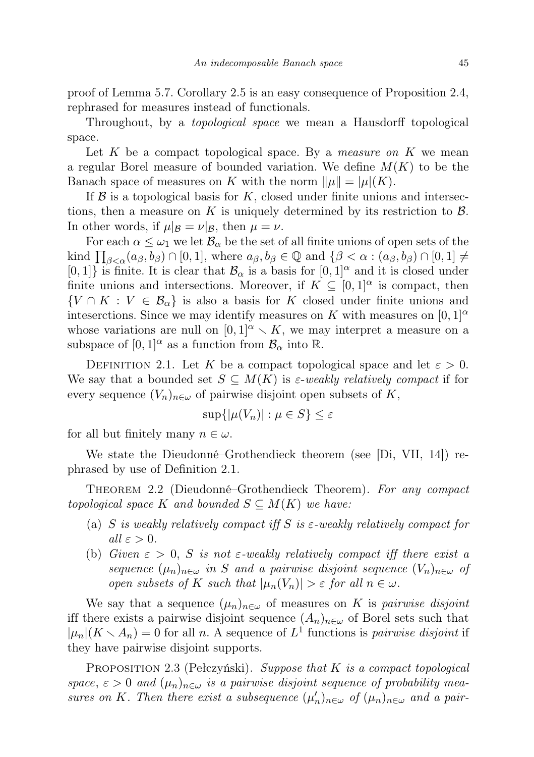proof of Lemma 5.7. Corollary 2.5 is an easy consequence of Proposition 2.4, rephrased for measures instead of functionals.

Throughout, by a topological space we mean a Hausdorff topological space.

Let  $K$  be a compact topological space. By a *measure on*  $K$  we mean a regular Borel measure of bounded variation. We define  $M(K)$  to be the Banach space of measures on K with the norm  $\|\mu\| = |\mu|(K)$ .

If  $\beta$  is a topological basis for K, closed under finite unions and intersections, then a measure on K is uniquely determined by its restriction to  $\beta$ . In other words, if  $\mu|_{\mathcal{B}} = \nu|_{\mathcal{B}}$ , then  $\mu = \nu$ .

For each  $\alpha \leq \omega_1$  we let  $\mathcal{B}_{\alpha}$  be the set of all finite unions of open sets of the kind  $\prod_{\beta<\alpha}(a_{\beta}, b_{\beta}) \cap [0, 1]$ , where  $a_{\beta}, b_{\beta} \in \mathbb{Q}$  and  $\{\beta<\alpha : (a_{\beta}, b_{\beta}) \cap [0, 1] \neq \emptyset\}$  $[0, 1]$  is finite. It is clear that  $\mathcal{B}_{\alpha}$  is a basis for  $[0, 1]^{\alpha}$  and it is closed under finite unions and intersections. Moreover, if  $K \subseteq [0,1]^\alpha$  is compact, then  $\{V \cap K : V \in \mathcal{B}_{\alpha}\}\$ is also a basis for K closed under finite unions and inteserctions. Since we may identify measures on K with measures on  $[0,1]^\alpha$ whose variations are null on  $[0, 1]^\alpha \setminus K$ , we may interpret a measure on a subspace of  $[0,1]^\alpha$  as a function from  $\mathcal{B}_\alpha$  into  $\mathbb{R}$ .

DEFINITION 2.1. Let K be a compact topological space and let  $\varepsilon > 0$ . We say that a bounded set  $S \subseteq M(K)$  is  $\varepsilon$ -weakly relatively compact if for every sequence  $(V_n)_{n\in\omega}$  of pairwise disjoint open subsets of K,

$$
\sup\{|\mu(V_n)| : \mu \in S\} \le \varepsilon
$$

for all but finitely many  $n \in \omega$ .

We state the Dieudonné–Grothendieck theorem (see [Di, VII, 14]) rephrased by use of Definition 2.1.

Theorem 2.2 (Dieudonné–Grothendieck Theorem). For any compact topological space K and bounded  $S \subseteq M(K)$  we have:

- (a) S is weakly relatively compact if  $S$  is  $\varepsilon$ -weakly relatively compact for all  $\varepsilon > 0$ .
- (b) Given  $\varepsilon > 0$ , S is not  $\varepsilon$ -weakly relatively compact iff there exist a sequence  $(\mu_n)_{n\in\omega}$  in S and a pairwise disjoint sequence  $(V_n)_{n\in\omega}$  of open subsets of K such that  $|\mu_n(V_n)| > \varepsilon$  for all  $n \in \omega$ .

We say that a sequence  $(\mu_n)_{n\in\omega}$  of measures on K is pairwise disjoint iff there exists a pairwise disjoint sequence  $(A_n)_{n\in\omega}$  of Borel sets such that  $|\mu_n|(K \setminus A_n) = 0$  for all n. A sequence of  $L^1$  functions is pairwise disjoint if they have pairwise disjoint supports.

PROPOSITION 2.3 (Pełczyński). Suppose that  $K$  is a compact topological space,  $\varepsilon > 0$  and  $(\mu_n)_{n \in \omega}$  is a pairwise disjoint sequence of probability measures on K. Then there exist a subsequence  $(\mu'_n)_{n \in \omega}$  of  $(\mu_n)_{n \in \omega}$  and a pair-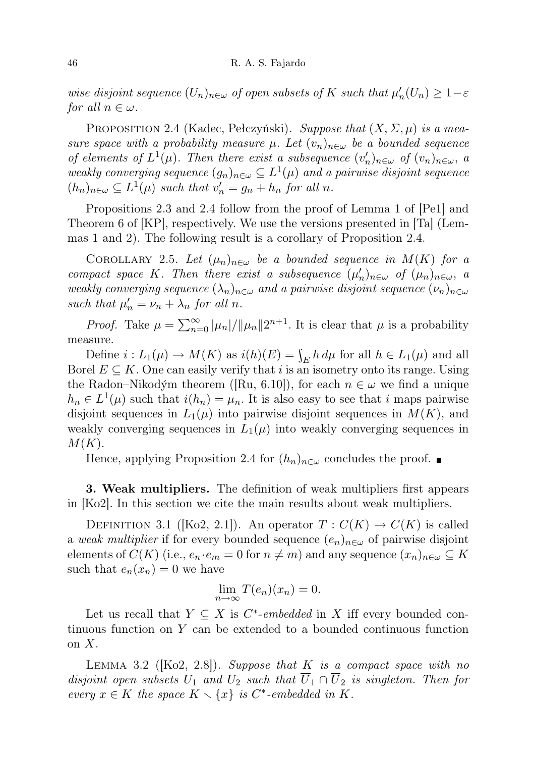wise disjoint sequence  $(U_n)_{n \in \omega}$  of open subsets of K such that  $\mu'_n(U_n) \geq 1 - \varepsilon$ for all  $n \in \omega$ .

PROPOSITION 2.4 (Kadec, Pełczyński). Suppose that  $(X, \Sigma, \mu)$  is a measure space with a probability measure  $\mu$ . Let  $(v_n)_{n \in \omega}$  be a bounded sequence of elements of  $L^1(\mu)$ . Then there exist a subsequence  $(v'_n)_{n\in\omega}$  of  $(v_n)_{n\in\omega}$ , a weakly converging sequence  $(g_n)_{n \in \omega} \subseteq L^1(\mu)$  and a pairwise disjoint sequence  $(h_n)_{n\in\omega}\subseteq L^1(\mu)$  such that  $v'_n=g_n+h_n$  for all n.

Propositions 2.3 and 2.4 follow from the proof of Lemma 1 of [Pe1] and Theorem 6 of [KP], respectively. We use the versions presented in [Ta] (Lemmas 1 and 2). The following result is a corollary of Proposition 2.4.

COROLLARY 2.5. Let  $(\mu_n)_{n\in\omega}$  be a bounded sequence in  $M(K)$  for a compact space K. Then there exist a subsequence  $(\mu'_n)_{n \in \omega}$  of  $(\mu_n)_{n \in \omega}$ , a weakly converging sequence  $(\lambda_n)_{n\in\omega}$  and a pairwise disjoint sequence  $(\nu_n)_{n\in\omega}$ such that  $\mu'_n = \nu_n + \lambda_n$  for all n.

*Proof.* Take  $\mu = \sum_{n=0}^{\infty} |\mu_n|/||\mu_n|| 2^{n+1}$ . It is clear that  $\mu$  is a probability measure.

Define  $i: L_1(\mu) \to M(K)$  as  $i(h)(E) = \int_E h d\mu$  for all  $h \in L_1(\mu)$  and all Borel  $E \subseteq K$ . One can easily verify that i is an isometry onto its range. Using the Radon–Nikodým theorem ([Ru, 6.10]), for each  $n \in \omega$  we find a unique  $h_n \in L^1(\mu)$  such that  $i(h_n) = \mu_n$ . It is also easy to see that i maps pairwise disjoint sequences in  $L_1(\mu)$  into pairwise disjoint sequences in  $M(K)$ , and weakly converging sequences in  $L_1(\mu)$  into weakly converging sequences in  $M(K).$ 

Hence, applying Proposition 2.4 for  $(h_n)_{n\in\omega}$  concludes the proof.

3. Weak multipliers. The definition of weak multipliers first appears in [Ko2]. In this section we cite the main results about weak multipliers.

DEFINITION 3.1 ([Ko2, 2.1]). An operator  $T: C(K) \to C(K)$  is called a weak multiplier if for every bounded sequence  $(e_n)_{n\in\omega}$  of pairwise disjoint elements of  $C(K)$  (i.e.,  $e_n \cdot e_m = 0$  for  $n \neq m$ ) and any sequence  $(x_n)_{n \in \omega} \subseteq K$ such that  $e_n(x_n) = 0$  we have

$$
\lim_{n \to \infty} T(e_n)(x_n) = 0.
$$

Let us recall that  $Y \subseteq X$  is  $C^*$ -embedded in X iff every bounded continuous function on Y can be extended to a bounded continuous function on  $X$ .

LEMMA 3.2 ( $[Ko2, 2.8]$ ). Suppose that K is a compact space with no disjoint open subsets  $U_1$  and  $U_2$  such that  $\overline{U}_1 \cap \overline{U}_2$  is singleton. Then for every  $x \in K$  the space  $K \setminus \{x\}$  is C<sup>\*</sup>-embedded in K.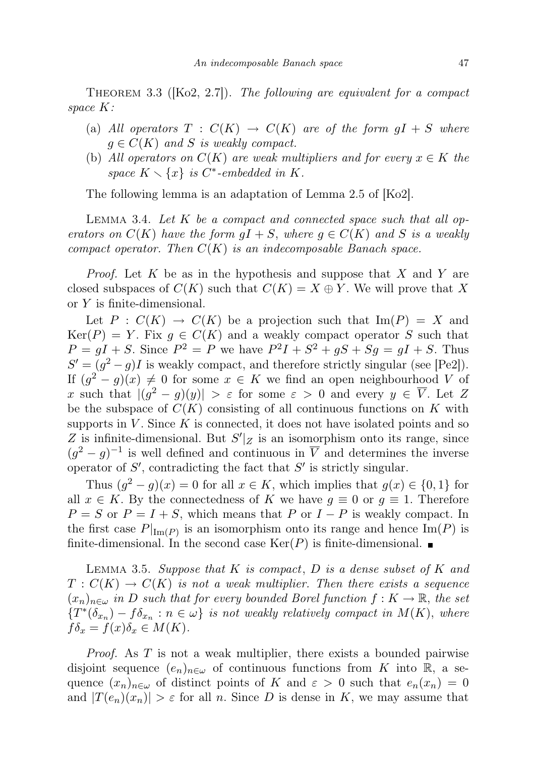THEOREM 3.3 ( $[Ko2, 2.7]$ ). The following are equivalent for a compact space K:

- (a) All operators  $T : C(K) \to C(K)$  are of the form  $gI + S$  where  $g \in C(K)$  and S is weakly compact.
- (b) All operators on  $C(K)$  are weak multipliers and for every  $x \in K$  the space  $K \setminus \{x\}$  is  $C^*$ -embedded in K.

The following lemma is an adaptation of Lemma 2.5 of [Ko2].

LEMMA 3.4. Let  $K$  be a compact and connected space such that all operators on  $C(K)$  have the form  $gI + S$ , where  $g \in C(K)$  and S is a weakly compact operator. Then  $C(K)$  is an indecomposable Banach space.

*Proof.* Let K be as in the hypothesis and suppose that X and Y are closed subspaces of  $C(K)$  such that  $C(K) = X \oplus Y$ . We will prove that X or Y is finite-dimensional.

Let  $P : C(K) \to C(K)$  be a projection such that  $\text{Im}(P) = X$  and  $Ker(P) = Y$ . Fix  $g \in C(K)$  and a weakly compact operator S such that  $P = gI + S$ . Since  $P^2 = P$  we have  $P^2I + S^2 + gS + Sg = gI + S$ . Thus  $S' = (g^2 - g)I$  is weakly compact, and therefore strictly singular (see [Pe2]). If  $(g^2 - g)(x) \neq 0$  for some  $x \in K$  we find an open neighbourhood V of x such that  $|(g^2 - g)(y)| > \varepsilon$  for some  $\varepsilon > 0$  and every  $y \in \overline{V}$ . Let Z be the subspace of  $C(K)$  consisting of all continuous functions on K with supports in  $V$ . Since  $K$  is connected, it does not have isolated points and so Z is infinite-dimensional. But  $S'|z$  is an isomorphism onto its range, since  $(g^2 - g)^{-1}$  is well defined and continuous in  $\overline{V}$  and determines the inverse operator of  $S'$ , contradicting the fact that  $S'$  is strictly singular.

Thus  $(g^2 - g)(x) = 0$  for all  $x \in K$ , which implies that  $g(x) \in \{0, 1\}$  for all  $x \in K$ . By the connectedness of K we have  $q \equiv 0$  or  $q \equiv 1$ . Therefore  $P = S$  or  $P = I + S$ , which means that P or  $I - P$  is weakly compact. In the first case  $P|_{\text{Im}(P)}$  is an isomorphism onto its range and hence  $\text{Im}(P)$  is finite-dimensional. In the second case  $\text{Ker}(P)$  is finite-dimensional.

LEMMA 3.5. Suppose that K is compact, D is a dense subset of K and  $T: C(K) \to C(K)$  is not a weak multiplier. Then there exists a sequence  $(x_n)_{n\in\omega}$  in D such that for every bounded Borel function  $f: K \to \mathbb{R}$ , the set  ${T^*(\delta_{x_n}) - f\delta_{x_n} : n \in \omega}$  is not weakly relatively compact in  $M(K)$ , where  $f\delta_x = f(x)\delta_x \in M(K).$ 

Proof. As T is not a weak multiplier, there exists a bounded pairwise disjoint sequence  $(e_n)_{n\in\omega}$  of continuous functions from K into R, a sequence  $(x_n)_{n\in\omega}$  of distinct points of K and  $\varepsilon > 0$  such that  $e_n(x_n) = 0$ and  $|T(e_n)(x_n)| > \varepsilon$  for all n. Since D is dense in K, we may assume that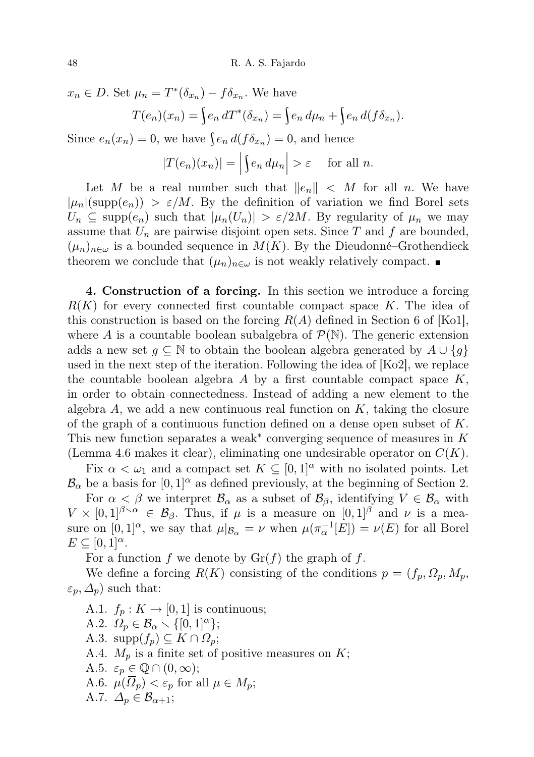$x_n \in D$ . Set  $\mu_n = T^*(\delta_{x_n}) - f \delta_{x_n}$ . We have

$$
T(e_n)(x_n) = \int e_n dT^*(\delta_{x_n}) = \int e_n d\mu_n + \int e_n d(f \delta_{x_n}).
$$

Since  $e_n(x_n) = 0$ , we have  $\int e_n d(f \delta_{x_n}) = 0$ , and hence

$$
|T(e_n)(x_n)| = \left| \int e_n \, d\mu_n \right| > \varepsilon \quad \text{for all } n.
$$

Let M be a real number such that  $||e_n|| < M$  for all n. We have  $|\mu_n|(\text{supp}(e_n)) > \varepsilon/M$ . By the definition of variation we find Borel sets  $U_n \subseteq \text{supp}(e_n)$  such that  $|\mu_n(U_n)| > \varepsilon/2M$ . By regularity of  $\mu_n$  we may assume that  $U_n$  are pairwise disjoint open sets. Since T and f are bounded,  $(\mu_n)_{n\in\omega}$  is a bounded sequence in  $M(K)$ . By the Dieudonné–Grothendieck theorem we conclude that  $(\mu_n)_{n\in\omega}$  is not weakly relatively compact.

4. Construction of a forcing. In this section we introduce a forcing  $R(K)$  for every connected first countable compact space K. The idea of this construction is based on the forcing  $R(A)$  defined in Section 6 of [Ko1], where A is a countable boolean subalgebra of  $\mathcal{P}(\mathbb{N})$ . The generic extension adds a new set  $g \subseteq \mathbb{N}$  to obtain the boolean algebra generated by  $A \cup \{g\}$ used in the next step of the iteration. Following the idea of [Ko2], we replace the countable boolean algebra  $A$  by a first countable compact space  $K$ , in order to obtain connectedness. Instead of adding a new element to the algebra  $A$ , we add a new continuous real function on  $K$ , taking the closure of the graph of a continuous function defined on a dense open subset of  $K$ . This new function separates a weak<sup>\*</sup> converging sequence of measures in  $K$ (Lemma 4.6 makes it clear), eliminating one undesirable operator on  $C(K)$ .

Fix  $\alpha < \omega_1$  and a compact set  $K \subseteq [0,1]^\alpha$  with no isolated points. Let  $\mathcal{B}_{\alpha}$  be a basis for  $[0, 1]^{\alpha}$  as defined previously, at the beginning of Section 2.

For  $\alpha < \beta$  we interpret  $\mathcal{B}_{\alpha}$  as a subset of  $\mathcal{B}_{\beta}$ , identifying  $V \in \mathcal{B}_{\alpha}$  with  $V \times [0,1]^{\beta \setminus \alpha} \in \mathcal{B}_{\beta}$ . Thus, if  $\mu$  is a measure on  $[0,1]^{\beta}$  and  $\nu$  is a measure on  $[0,1]^\alpha$ , we say that  $\mu|_{\mathcal{B}_\alpha} = \nu$  when  $\mu(\pi_\alpha^{-1}[E]) = \nu(E)$  for all Borel  $E \subseteq [0,1]^\alpha$ .

For a function f we denote by  $\mathrm{Gr}(f)$  the graph of f.

We define a forcing  $R(K)$  consisting of the conditions  $p = (f_p, \Omega_p, M_p,$  $\varepsilon_p, \Delta_p$ ) such that:

A.1.  $f_p: K \to [0,1]$  is continuous; A.2.  $\Omega_p \in \mathcal{B}_\alpha \setminus \{[0, 1]^\alpha\};$ A.3.  $\text{supp}(f_p) \subseteq K \cap \Omega_p$ ; A.4.  $M_p$  is a finite set of positive measures on  $K$ ; A.5.  $\varepsilon_p \in \mathbb{Q} \cap (0, \infty);$ A.6.  $\mu(\overline{\Omega}_p) < \varepsilon_p$  for all  $\mu \in M_p$ ; A.7.  $\Delta_p \in \mathcal{B}_{\alpha+1}$ ;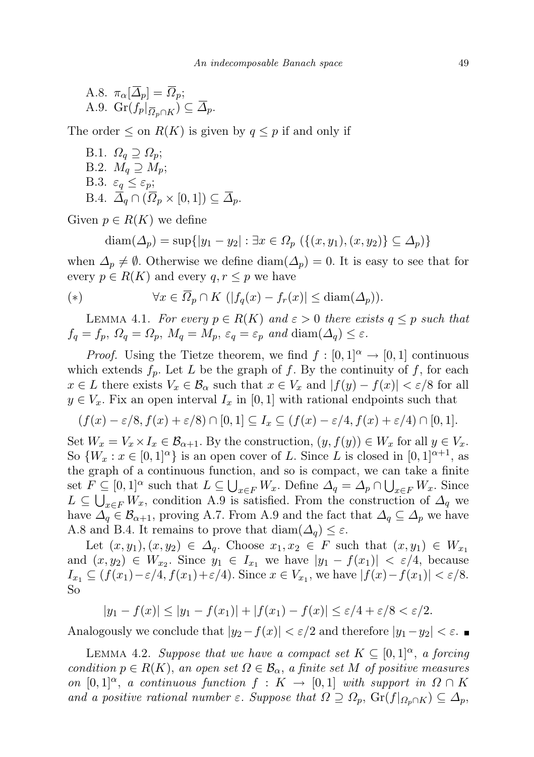A.8. 
$$
\pi_{\alpha}[\overline{\Delta}_p] = \overline{\Omega}_p;
$$
  
A.9.  $\operatorname{Gr}(f_p|_{\overline{\Omega}_p \cap K}) \subseteq \overline{\Delta}_p.$ 

The order  $\leq$  on  $R(K)$  is given by  $q \leq p$  if and only if

B.1.  $\Omega_q \supseteq \Omega_p$ ; B.2.  $M_q \supseteq M_p$ ; B.3.  $\varepsilon_q \leq \varepsilon_p$ ; B.4.  $\overline{\Delta}_q \cap (\overline{\Omega}_p \times [0,1]) \subseteq \overline{\Delta}_p$ .

Given  $p \in R(K)$  we define

$$
diam(\Delta_p) = sup\{|y_1 - y_2| : \exists x \in \Omega_p \ (\{(x, y_1), (x, y_2)\} \subseteq \Delta_p)\}\
$$

when  $\Delta_p \neq \emptyset$ . Otherwise we define  $\text{diam}(\Delta_p) = 0$ . It is easy to see that for every  $p \in R(K)$  and every  $q, r \leq p$  we have

$$
(*) \qquad \forall x \in \overline{\Omega}_p \cap K \ (|f_q(x) - f_r(x)| \leq \text{diam}(\Delta_p)).
$$

LEMMA 4.1. For every  $p \in R(K)$  and  $\varepsilon > 0$  there exists  $q \leq p$  such that  $f_q = f_p, \ \Omega_q = \Omega_p, \ M_q = M_p, \ \varepsilon_q = \varepsilon_p \ \text{and} \ \text{diam}(\Delta_q) \leq \varepsilon.$ 

*Proof.* Using the Tietze theorem, we find  $f : [0,1]^\alpha \to [0,1]$  continuous which extends  $f_p$ . Let L be the graph of f. By the continuity of f, for each  $x \in L$  there exists  $V_x \in \mathcal{B}_\alpha$  such that  $x \in V_x$  and  $|f(y) - f(x)| < \varepsilon/8$  for all  $y \in V_x$ . Fix an open interval  $I_x$  in [0, 1] with rational endpoints such that

$$
(f(x) - \varepsilon/8, f(x) + \varepsilon/8) \cap [0,1] \subseteq I_x \subseteq (f(x) - \varepsilon/4, f(x) + \varepsilon/4) \cap [0,1].
$$

Set  $W_x = V_x \times I_x \in \mathcal{B}_{\alpha+1}$ . By the construction,  $(y, f(y)) \in W_x$  for all  $y \in V_x$ . So  $\{W_x : x \in [0,1]^\alpha\}$  is an open cover of L. Since L is closed in  $[0,1]^{n+1}$ , as the graph of a continuous function, and so is compact, we can take a finite set  $F \subseteq [0,1]^\alpha$  such that  $L \subseteq \bigcup_{x \in F} W_x$ . Define  $\Delta_q = \Delta_p \cap \bigcup_{x \in F} W_x$ . Since  $L \subseteq \bigcup_{x \in F} W_x$ , condition A.9 is satisfied. From the construction of  $\Delta_q$  we have  $\Delta_q \in \mathcal{B}_{\alpha+1}$ , proving A.7. From A.9 and the fact that  $\Delta_q \subseteq \Delta_p$  we have A.8 and B.4. It remains to prove that  $\text{diam}(\Delta_q) \leq \varepsilon$ .

Let  $(x, y_1), (x, y_2) \in \Delta_q$ . Choose  $x_1, x_2 \in F$  such that  $(x, y_1) \in W_{x_1}$ and  $(x, y_2) \in W_{x_2}$ . Since  $y_1 \in I_{x_1}$  we have  $|y_1 - f(x_1)| < \varepsilon/4$ , because  $I_{x_1} \subseteq (f(x_1)-\varepsilon/4, f(x_1)+\varepsilon/4)$ . Since  $x \in V_{x_1}$ , we have  $|f(x)-f(x_1)| < \varepsilon/8$ . So

 $|y_1 - f(x)| \le |y_1 - f(x_1)| + |f(x_1) - f(x)| \le \varepsilon/4 + \varepsilon/8 < \varepsilon/2.$ 

Analogously we conclude that  $|y_2-f(x)| < \varepsilon/2$  and therefore  $|y_1-y_2| < \varepsilon$ .

LEMMA 4.2. Suppose that we have a compact set  $K \subseteq [0,1]^\alpha$ , a forcing condition  $p \in R(K)$ , an open set  $\Omega \in \mathcal{B}_{\alpha}$ , a finite set M of positive measures on  $[0,1]^\alpha$ , a continuous function  $f: K \to [0,1]$  with support in  $\Omega \cap K$ and a positive rational number  $\varepsilon$ . Suppose that  $\Omega \supseteq \Omega_p$ ,  $\mathrm{Gr}(f|_{\Omega_p \cap K}) \subseteq \Delta_p$ ,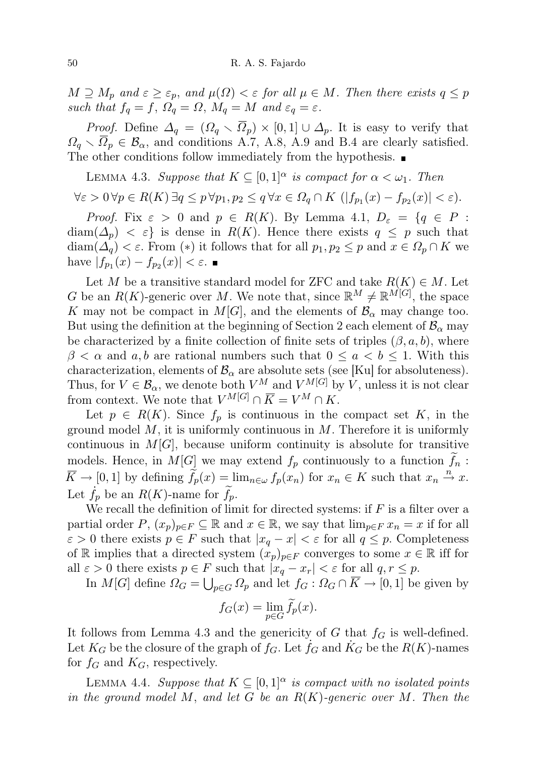$M \supseteq M_p$  and  $\varepsilon \geq \varepsilon_p$ , and  $\mu(\Omega) < \varepsilon$  for all  $\mu \in M$ . Then there exists  $q \leq p$ such that  $f_q = f$ ,  $\Omega_q = \Omega$ ,  $M_q = M$  and  $\varepsilon_q = \varepsilon$ .

*Proof.* Define  $\Delta_q = (\Omega_q \setminus \overline{\Omega}_p) \times [0,1] \cup \Delta_p$ . It is easy to verify that  $\Omega_q \setminus \overline{\Omega}_p \in \mathcal{B}_{\alpha}$ , and conditions A.7, A.8, A.9 and B.4 are clearly satisfied. The other conditions follow immediately from the hypothesis.

LEMMA 4.3. Suppose that  $K \subseteq [0,1]^\alpha$  is compact for  $\alpha < \omega_1$ . Then

$$
\forall \varepsilon > 0 \, \forall p \in R(K) \, \exists q \leq p \, \forall p_1, p_2 \leq q \, \forall x \in \Omega_q \cap K \, \left( |f_{p_1}(x) - f_{p_2}(x)| < \varepsilon \right).
$$

*Proof.* Fix  $\varepsilon > 0$  and  $p \in R(K)$ . By Lemma 4.1,  $D_{\varepsilon} = \{q \in P :$  $diam(\Delta_p) < \varepsilon$  is dense in  $R(K)$ . Hence there exists  $q \leq p$  such that  $\text{diam}(\Delta_q) < \varepsilon$ . From  $(*)$  it follows that for all  $p_1, p_2 \leq p$  and  $x \in \Omega_p \cap K$  we have  $|f_{p_1}(x) - f_{p_2}(x)| < \varepsilon$ .

Let M be a transitive standard model for ZFC and take  $R(K) \in M$ . Let G be an  $R(K)$ -generic over M. We note that, since  $\mathbb{R}^M \neq \mathbb{R}^{M[G]}$ , the space K may not be compact in  $M[G]$ , and the elements of  $\mathcal{B}_{\alpha}$  may change too. But using the definition at the beginning of Section 2 each element of  $\mathcal{B}_{\alpha}$  may be characterized by a finite collection of finite sets of triples  $(\beta, a, b)$ , where  $\beta < \alpha$  and a, b are rational numbers such that  $0 \leq a \leq b \leq 1$ . With this characterization, elements of  $\mathcal{B}_{\alpha}$  are absolute sets (see [Ku] for absoluteness). Thus, for  $V \in \mathcal{B}_\alpha$ , we denote both  $V^M$  and  $V^{M[G]}$  by  $V$ , unless it is not clear from context. We note that  $V^{M[G]} \cap \overline{K} = V^M \cap K$ .

Let  $p \in R(K)$ . Since  $f_p$  is continuous in the compact set K, in the ground model  $M$ , it is uniformly continuous in  $M$ . Therefore it is uniformly continuous in  $M[G]$ , because uniform continuity is absolute for transitive models. Hence, in  $M[G]$  we may extend  $f_p$  continuously to a function  $f_n$ :  $\overline{K} \to [0,1]$  by defining  $\tilde{f}_p(x) = \lim_{n \in \omega} f_p(x_n)$  for  $x_n \in K$  such that  $x_n \stackrel{n}{\to} x$ . Let  $f_n$  be an  $R(K)$ -name for  $f_n$ .

We recall the definition of limit for directed systems: if  $F$  is a filter over a partial order P,  $(x_p)_{p\in F} \subseteq \mathbb{R}$  and  $x \in \mathbb{R}$ , we say that  $\lim_{p\in F} x_n = x$  if for all  $\varepsilon > 0$  there exists  $p \in F$  such that  $|x_q - x| < \varepsilon$  for all  $q \leq p$ . Completeness of R implies that a directed system  $(x_p)_{p\in F}$  converges to some  $x \in \mathbb{R}$  iff for all  $\varepsilon > 0$  there exists  $p \in F$  such that  $|x_q - x_r| < \varepsilon$  for all  $q, r \leq p$ .

In  $M[G]$  define  $\Omega_G = \bigcup_{p \in G} \Omega_p$  and let  $f_G : \Omega_G \cap \overline{K} \to [0,1]$  be given by

$$
f_G(x) = \lim_{p \in G} f_p(x).
$$

It follows from Lemma 4.3 and the genericity of G that  $f_G$  is well-defined. Let  $K_G$  be the closure of the graph of  $f_G$ . Let  $\dot{f}_G$  and  $\dot{K}_G$  be the  $R(K)$ -names for  $f_G$  and  $K_G$ , respectively.

LEMMA 4.4. Suppose that  $K \subseteq [0,1]^\alpha$  is compact with no isolated points in the ground model M, and let G be an  $R(K)$ -generic over M. Then the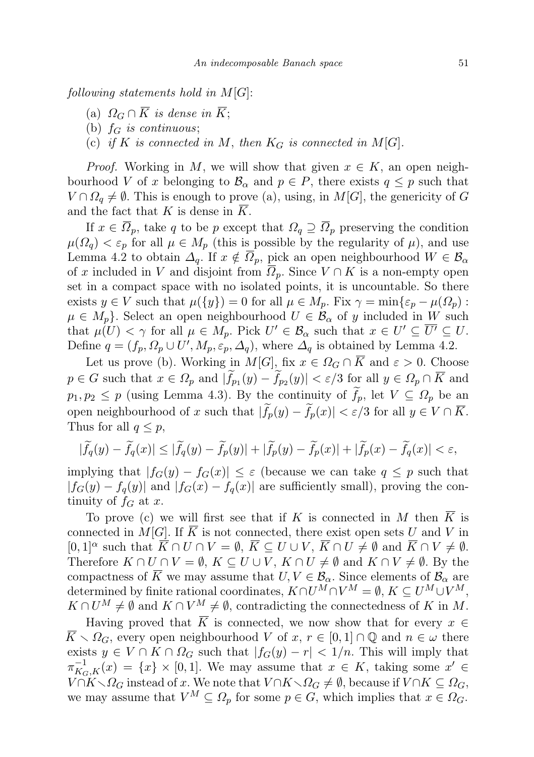following statements hold in  $M[G]$ :

- (a)  $\Omega_G \cap \overline{K}$  is dense in  $\overline{K}$ ;
- (b)  $f_G$  is continuous;
- (c) if K is connected in M, then  $K_G$  is connected in M[G].

*Proof.* Working in M, we will show that given  $x \in K$ , an open neighbourhood V of x belonging to  $\mathcal{B}_{\alpha}$  and  $p \in P$ , there exists  $q \leq p$  such that  $V \cap \Omega_q \neq \emptyset$ . This is enough to prove (a), using, in  $M[G]$ , the genericity of G and the fact that K is dense in  $\overline{K}$ .

If  $x \in \overline{\Omega}_p$ , take q to be p except that  $\Omega_q \supseteq \overline{\Omega}_p$  preserving the condition  $\mu(\Omega_q) < \varepsilon_p$  for all  $\mu \in M_p$  (this is possible by the regularity of  $\mu$ ), and use Lemma 4.2 to obtain  $\Delta_q$ . If  $x \notin \overline{\Omega}_p$ , pick an open neighbourhood  $W \in \mathcal{B}_\alpha$ of x included in V and disjoint from  $\Omega_p$ . Since  $V \cap K$  is a non-empty open set in a compact space with no isolated points, it is uncountable. So there exists  $y \in V$  such that  $\mu({y}) = 0$  for all  $\mu \in M_p$ . Fix  $\gamma = \min{\varepsilon_p - \mu(\Omega_p)}$ :  $\mu \in M_p$ . Select an open neighbourhood  $U \in \mathcal{B}_{\alpha}$  of y included in W such that  $\mu(U) < \gamma$  for all  $\mu \in M_p$ . Pick  $U' \in \mathcal{B}_\alpha$  such that  $x \in U' \subseteq \overline{U'} \subseteq U$ . Define  $q = (f_p, \Omega_p \cup U', M_p, \varepsilon_p, \Delta_q)$ , where  $\Delta_q$  is obtained by Lemma 4.2.

Let us prove (b). Working in  $M[G]$ , fix  $x \in \Omega_G \cap \overline{K}$  and  $\varepsilon > 0$ . Choose  $p \in G$  such that  $x \in \Omega_p$  and  $|f_{p_1}(y) - f_{p_2}(y)| < \varepsilon/3$  for all  $y \in \Omega_p \cap K$  and  $p_1, p_2 \leq p$  (using Lemma 4.3). By the continuity of  $f_p$ , let  $V \subseteq \Omega_p$  be an open neighbourhood of x such that  $|\widetilde{f}_p(y) - \widetilde{f}_p(x)| < \varepsilon/3$  for all  $y \in V \cap \overline{K}$ . Thus for all  $q \leq p$ ,

$$
|\widetilde{f}_q(y) - \widetilde{f}_q(x)| \le |\widetilde{f}_q(y) - \widetilde{f}_p(y)| + |\widetilde{f}_p(y) - \widetilde{f}_p(x)| + |\widetilde{f}_p(x) - \widetilde{f}_q(x)| < \varepsilon,
$$

implying that  $|f_G(y) - f_G(x)| \leq \varepsilon$  (because we can take  $q \leq p$  such that  $|f_G(y) - f_q(y)|$  and  $|f_G(x) - f_q(x)|$  are sufficiently small), proving the continuity of  $f_G$  at x.

To prove (c) we will first see that if K is connected in M then  $\overline{K}$  is connected in  $M[G]$ . If  $\overline{K}$  is not connected, there exist open sets U and V in  $[0,1]^\alpha$  such that  $\overline{K} \cap U \cap V = \emptyset$ ,  $\overline{K} \subseteq U \cup V$ ,  $\overline{K} \cap U \neq \emptyset$  and  $\overline{K} \cap V \neq \emptyset$ . Therefore  $K \cap U \cap V = \emptyset$ ,  $K \subseteq U \cup V$ ,  $K \cap U \neq \emptyset$  and  $K \cap V \neq \emptyset$ . By the compactness of K we may assume that  $U, V \in \mathcal{B}_{\alpha}$ . Since elements of  $\mathcal{B}_{\alpha}$  are determined by finite rational coordinates,  $K \cap U^M \cap V^M = \emptyset$ ,  $K \subseteq U^M \cup V^M$ ,  $K \cap U^M \neq \emptyset$  and  $K \cap V^M \neq \emptyset$ , contradicting the connectedness of K in M.

Having proved that  $\overline{K}$  is connected, we now show that for every  $x \in$  $\overline{K} \setminus \Omega_G$ , every open neighbourhood V of  $x, r \in [0,1] \cap \mathbb{Q}$  and  $n \in \omega$  there exists  $y \in V \cap K \cap \Omega_G$  such that  $|f_G(y) - r| < 1/n$ . This will imply that  $\pi_{K_G,K}^{-1}(x) = \{x\} \times [0,1].$  We may assume that  $x \in K$ , taking some  $x' \in$  $V \cap K \setminus \Omega_G$  instead of x. We note that  $V \cap K \setminus \Omega_G \neq \emptyset$ , because if  $V \cap K \subseteq \Omega_G$ , we may assume that  $V^M \subseteq \Omega_p$  for some  $p \in G$ , which implies that  $x \in \Omega_G$ .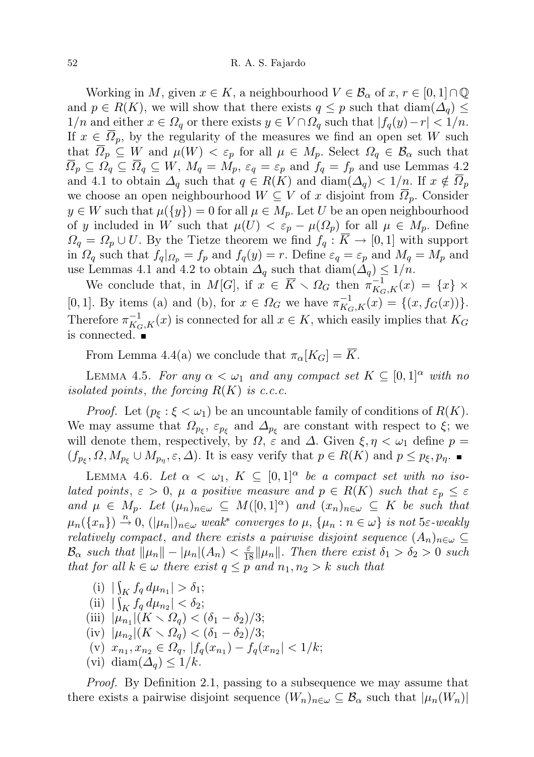Working in M, given  $x \in K$ , a neighbourhood  $V \in \mathcal{B}_{\alpha}$  of  $x, r \in [0,1] \cap \mathbb{Q}$ and  $p \in R(K)$ , we will show that there exists  $q \leq p$  such that  $\text{diam}(\Delta_q) \leq$  $1/n$  and either  $x \in \Omega_q$  or there exists  $y \in V \cap \Omega_q$  such that  $|f_q(y)-r| < 1/n$ . If  $x \in \Omega_p$ , by the regularity of the measures we find an open set W such that  $\overline{\Omega}_p \subseteq W$  and  $\mu(W) < \varepsilon_p$  for all  $\mu \in M_p$ . Select  $\Omega_q \in \mathcal{B}_\alpha$  such that  $\overline{\Omega}_p \subseteq \Omega_q \subseteq \overline{\Omega}_q \subseteq W$ ,  $M_q = M_p$ ,  $\varepsilon_q = \varepsilon_p$  and  $f_q = f_p$  and use Lemmas 4.2 and 4.1 to obtain  $\Delta_q$  such that  $q \in R(K)$  and  $\text{diam}(\Delta_q) < 1/n$ . If  $x \notin \overline{\Omega_p}$ we choose an open neighbourhood  $W \subseteq V$  of x disjoint from  $\overline{\Omega}_p$ . Consider  $y \in W$  such that  $\mu({y}) = 0$  for all  $\mu \in M_p$ . Let U be an open neighbourhood of y included in W such that  $\mu(U) < \varepsilon_p - \mu(\Omega_p)$  for all  $\mu \in M_p$ . Define  $\Omega_q = \Omega_p \cup U$ . By the Tietze theorem we find  $f_q : \overline{K} \to [0,1]$  with support in  $\Omega_q$  such that  $f_q|_{\Omega_p} = f_p$  and  $f_q(y) = r$ . Define  $\varepsilon_q = \varepsilon_p$  and  $M_q = M_p$  and use Lemmas 4.1 and 4.2 to obtain  $\Delta_q$  such that  $\text{diam}(\Delta_q) \leq 1/n$ .

We conclude that, in  $M[G]$ , if  $x \in \overline{K} \setminus \Omega_G$  then  $\pi_{K_G,K}^{-1}(x) = \{x\}$  × [0, 1]. By items (a) and (b), for  $x \in \Omega_G$  we have  $\pi_{K_G,K}^{-1}(x) = \{(x, f_G(x))\}.$ Therefore  $\pi_{K_G,K}^{-1}(x)$  is connected for all  $x \in K$ , which easily implies that  $K_G$ is connected.

From Lemma 4.4(a) we conclude that  $\pi_{\alpha}[K_G] = \overline{K}$ .

LEMMA 4.5. For any  $\alpha < \omega_1$  and any compact set  $K \subseteq [0,1]^\alpha$  with no isolated points, the forcing  $R(K)$  is c.c.c.

*Proof.* Let  $(p_{\xi} : \xi < \omega_1)$  be an uncountable family of conditions of  $R(K)$ . We may assume that  $\Omega_{p_{\xi}}, \varepsilon_{p_{\xi}}$  and  $\Delta_{p_{\xi}}$  are constant with respect to  $\xi$ ; we will denote them, respectively, by  $\Omega$ ,  $\varepsilon$  and  $\Delta$ . Given  $\xi, \eta < \omega_1$  define  $p =$  $(f_{p_{\xi}}, \Omega, M_{p_{\xi}} \cup M_{p_{\eta}}, \varepsilon, \Delta)$ . It is easy verify that  $p \in R(K)$  and  $p \leq p_{\xi}, p_{\eta}$ .

LEMMA 4.6. Let  $\alpha < \omega_1$ ,  $K \subseteq [0,1]^\alpha$  be a compact set with no isolated points,  $\varepsilon > 0$ ,  $\mu$  a positive measure and  $p \in R(K)$  such that  $\varepsilon_p \leq \varepsilon$ and  $\mu \in M_p$ . Let  $(\mu_n)_{n \in \omega} \subseteq M([0,1]^\alpha)$  and  $(x_n)_{n \in \omega} \subseteq K$  be such that  $\mu_n(\lbrace x_n \rbrace) \stackrel{n}{\rightarrow} 0$ ,  $(|\mu_n|)_{n \in \omega}$  weak<sup>\*</sup> converges to  $\mu$ ,  $\lbrace \mu_n : n \in \omega \rbrace$  is not 5 $\varepsilon$ -weakly relatively compact, and there exists a pairwise disjoint sequence  $(A_n)_{n\in\omega}\subseteq$  $\mathcal{B}_{\alpha}$  such that  $\|\mu_n\| - |\mu_n|(A_n) < \frac{\varepsilon}{18} \|\mu_n\|$ . Then there exist  $\delta_1 > \delta_2 > 0$  such that for all  $k \in \omega$  there exist  $q \leq p$  and  $n_1, n_2 > k$  such that

- (i)  $|\int_K f_q d\mu_{n_1}| > \delta_1;$
- (ii)  $|\int_K f_q d\mu_{n_2}| < \delta_2;$
- (iii)  $|\mu_{n_1}|(K \setminus \Omega_q) < (\delta_1 \delta_2)/3;$
- (iv)  $|\mu_{n_2}|(K \setminus \Omega_q) < (\delta_1 \delta_2)/3;$
- (v)  $x_{n_1}, x_{n_2} \in \Omega_q$ ,  $|f_q(x_{n_1}) f_q(x_{n_2})| < 1/k$ ;
- (vi) diam $(\Delta_q) \leq 1/k$ .

Proof. By Definition 2.1, passing to a subsequence we may assume that there exists a pairwise disjoint sequence  $(W_n)_{n\in\omega}\subseteq\mathcal{B}_\alpha$  such that  $|\mu_n(W_n)|$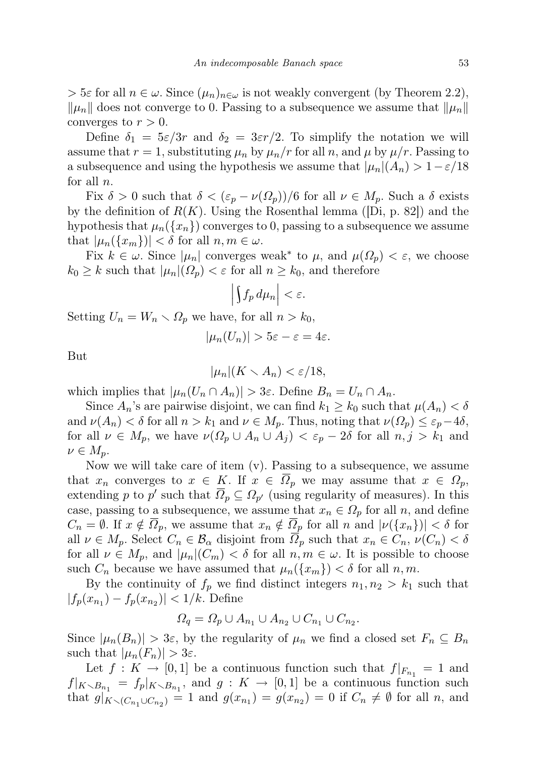$> 5\varepsilon$  for all  $n \in \omega$ . Since  $(\mu_n)_{n \in \omega}$  is not weakly convergent (by Theorem 2.2),  $\|\mu_n\|$  does not converge to 0. Passing to a subsequence we assume that  $\|\mu_n\|$ converges to  $r > 0$ .

Define  $\delta_1 = 5\varepsilon/3r$  and  $\delta_2 = 3\varepsilon r/2$ . To simplify the notation we will assume that  $r = 1$ , substituting  $\mu_n$  by  $\mu_n/r$  for all n, and  $\mu$  by  $\mu/r$ . Passing to a subsequence and using the hypothesis we assume that  $|\mu_n|(A_n) > 1-\epsilon/18$ for all  $n$ .

Fix  $\delta > 0$  such that  $\delta < (\varepsilon_p - \nu(\Omega_p))/6$  for all  $\nu \in M_p$ . Such a  $\delta$  exists by the definition of  $R(K)$ . Using the Rosenthal lemma ([Di, p. 82]) and the hypothesis that  $\mu_n({x_n})$  converges to 0, passing to a subsequence we assume that  $|\mu_n({x_m})| < \delta$  for all  $n, m \in \omega$ .

Fix  $k \in \omega$ . Since  $|\mu_n|$  converges weak<sup>\*</sup> to  $\mu$ , and  $\mu(\Omega_p) < \varepsilon$ , we choose  $k_0 \geq k$  such that  $|\mu_n|( \Omega_p) < \varepsilon$  for all  $n \geq k_0$ , and therefore

$$
\left|\int f_p\,d\mu_n\right|<\varepsilon.
$$

Setting  $U_n = W_n \setminus \Omega_p$  we have, for all  $n > k_0$ ,

$$
|\mu_n(U_n)| > 5\varepsilon - \varepsilon = 4\varepsilon.
$$

But

$$
|\mu_n|(K \smallsetminus A_n) < \varepsilon/18,
$$

which implies that  $|\mu_n(U_n \cap A_n)| > 3\varepsilon$ . Define  $B_n = U_n \cap A_n$ .

Since  $A_n$ 's are pairwise disjoint, we can find  $k_1 \geq k_0$  such that  $\mu(A_n) < \delta$ and  $\nu(A_n) < \delta$  for all  $n > k_1$  and  $\nu \in M_p$ . Thus, noting that  $\nu(\Omega_p) \leq \varepsilon_p - 4\delta$ , for all  $\nu \in M_p$ , we have  $\nu(\Omega_p \cup A_n \cup A_j) < \varepsilon_p - 2\delta$  for all  $n, j > k_1$  and  $\nu \in M_p$ .

Now we will take care of item (v). Passing to a subsequence, we assume that  $x_n$  converges to  $x \in K$ . If  $x \in \Omega_p$  we may assume that  $x \in \Omega_p$ , extending p to p' such that  $\overline{\Omega}_p \subseteq \Omega_{p'}$  (using regularity of measures). In this case, passing to a subsequence, we assume that  $x_n \in \Omega_p$  for all n, and define  $C_n = \emptyset$ . If  $x \notin \overline{\Omega}_p$ , we assume that  $x_n \notin \overline{\Omega}_p$  for all n and  $|\nu(\lbrace x_n \rbrace)| < \delta$  for all  $\nu \in M_p$ . Select  $C_n \in \mathcal{B}_\alpha$  disjoint from  $\overline{\Omega}_p$  such that  $x_n \in C_n$ ,  $\nu(C_n) < \delta$ for all  $\nu \in M_p$ , and  $|\mu_n|(C_m) < \delta$  for all  $n, m \in \omega$ . It is possible to choose such  $C_n$  because we have assumed that  $\mu_n({x_m}) < \delta$  for all  $n, m$ .

By the continuity of  $f_p$  we find distinct integers  $n_1, n_2 > k_1$  such that  $|f_p(x_{n_1}) - f_p(x_{n_2})| < 1/k$ . Define

$$
\Omega_q = \Omega_p \cup A_{n_1} \cup A_{n_2} \cup C_{n_1} \cup C_{n_2}.
$$

Since  $|\mu_n(B_n)| > 3\varepsilon$ , by the regularity of  $\mu_n$  we find a closed set  $F_n \subseteq B_n$ such that  $|\mu_n(F_n)| > 3\varepsilon$ .

Let  $f: K \to [0,1]$  be a continuous function such that  $f|_{F_{n_1}} = 1$  and  $f|_{K\setminus B_{n_1}} = f_p|_{K\setminus B_{n_1}}$ , and  $g: K \to [0,1]$  be a continuous function such that  $g|_{K \setminus (C_{n_1} \cup C_{n_2})} = 1$  and  $g(x_{n_1}) = g(x_{n_2}) = 0$  if  $C_n \neq \emptyset$  for all n, and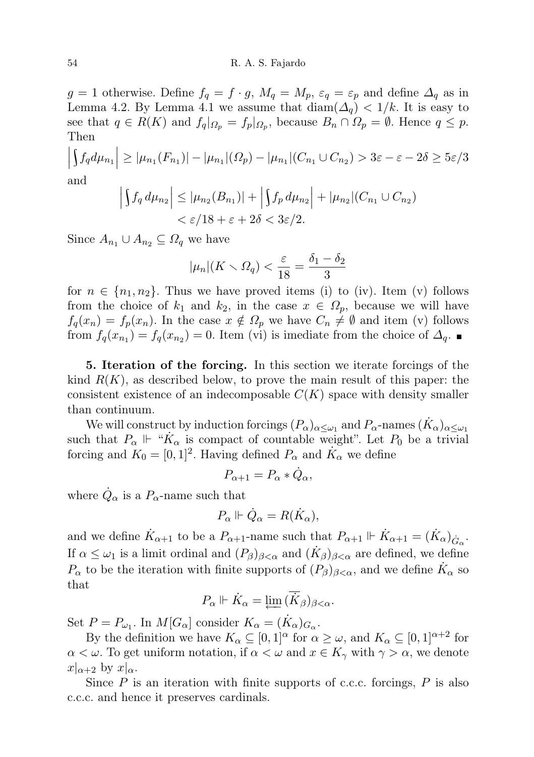g = 1 otherwise. Define  $f_q = f \cdot g$ ,  $M_q = M_p$ ,  $\varepsilon_q = \varepsilon_p$  and define  $\Delta_q$  as in Lemma 4.2. By Lemma 4.1 we assume that  $\text{diam}(\Delta_q) < 1/k$ . It is easy to see that  $q \in R(K)$  and  $f_q|_{\Omega_p} = f_p|_{\Omega_p}$ , because  $B_n \cap \Omega_p = \emptyset$ . Hence  $q \leq p$ . Then

$$
\left| \int f_q d\mu_{n_1} \right| \ge |\mu_{n_1}(F_{n_1})| - |\mu_{n_1}|(\Omega_p) - |\mu_{n_1}|(C_{n_1} \cup C_{n_2}) > 3\varepsilon - \varepsilon - 2\delta \ge 5\varepsilon/3
$$

and

$$
\left| \int f_q d\mu_{n_2} \right| \leq |\mu_{n_2}(B_{n_1})| + \left| \int f_p d\mu_{n_2} \right| + |\mu_{n_2}| (C_{n_1} \cup C_{n_2})
$$
  

$$
< \varepsilon / 18 + \varepsilon + 2\delta < 3\varepsilon / 2.
$$

Since  $A_{n_1} \cup A_{n_2} \subseteq \Omega_q$  we have

$$
|\mu_n|(K \setminus \Omega_q) < \frac{\varepsilon}{18} = \frac{\delta_1 - \delta_2}{3}
$$

for  $n \in \{n_1, n_2\}$ . Thus we have proved items (i) to (iv). Item (v) follows from the choice of  $k_1$  and  $k_2$ , in the case  $x \in \Omega_p$ , because we will have  $f_q(x_n) = f_p(x_n)$ . In the case  $x \notin \Omega_p$  we have  $C_n \neq \emptyset$  and item (v) follows from  $f_q(x_{n_1}) = f_q(x_{n_2}) = 0$ . Item (vi) is imediate from the choice of  $\Delta_q$ .

5. Iteration of the forcing. In this section we iterate forcings of the kind  $R(K)$ , as described below, to prove the main result of this paper: the consistent existence of an indecomposable  $C(K)$  space with density smaller than continuum.

We will construct by induction forcings  $(P_\alpha)_{\alpha\leq\omega_1}$  and  $P_\alpha$ -names  $(\dot{K}_\alpha)_{\alpha\leq\omega_1}$ such that  $P_{\alpha} \Vdash {\alpha \over K_{\alpha}}$  is compact of countable weight". Let  $P_0$  be a trivial forcing and  $K_0 = [0, 1]^2$ . Having defined  $P_\alpha$  and  $\dot{K}_\alpha$  we define

$$
P_{\alpha+1} = P_{\alpha} * \dot{Q}_{\alpha},
$$

where  $\dot{Q}_{\alpha}$  is a  $P_{\alpha}$ -name such that

$$
P_{\alpha}\Vdash \dot{Q}_{\alpha}=R(\dot{K}_{\alpha}),
$$

and we define  $\dot{K}_{\alpha+1}$  to be a  $P_{\alpha+1}$ -name such that  $P_{\alpha+1} \Vdash \dot{K}_{\alpha+1} = (\dot{K}_{\alpha})_{\dot{G}_{\alpha}}$ . If  $\alpha \leq \omega_1$  is a limit ordinal and  $(P_\beta)_{\beta < \alpha}$  and  $(\dot{K}_\beta)_{\beta < \alpha}$  are defined, we define  $P_{\alpha}$  to be the iteration with finite supports of  $(P_{\beta})_{\beta < \alpha}$ , and we define  $\dot{K}_{\alpha}$  so that

$$
P_{\alpha} \Vdash \dot{K}_{\alpha} = \varprojlim (\overline{\dot{K}}_{\beta})_{\beta < \alpha}.
$$

Set  $P = P_{\omega_1}$ . In  $M[G_\alpha]$  consider  $K_\alpha = (\dot{K}_\alpha)_{G_\alpha}$ .

By the definition we have  $K_{\alpha} \subseteq [0,1]^{\alpha}$  for  $\alpha \geq \omega$ , and  $K_{\alpha} \subseteq [0,1]^{\alpha+2}$  for  $\alpha < \omega$ . To get uniform notation, if  $\alpha < \omega$  and  $x \in K_{\gamma}$  with  $\gamma > \alpha$ , we denote  $x|_{\alpha+2}$  by  $x|_{\alpha}$ .

Since  $P$  is an iteration with finite supports of c.c.c. forcings,  $P$  is also c.c.c. and hence it preserves cardinals.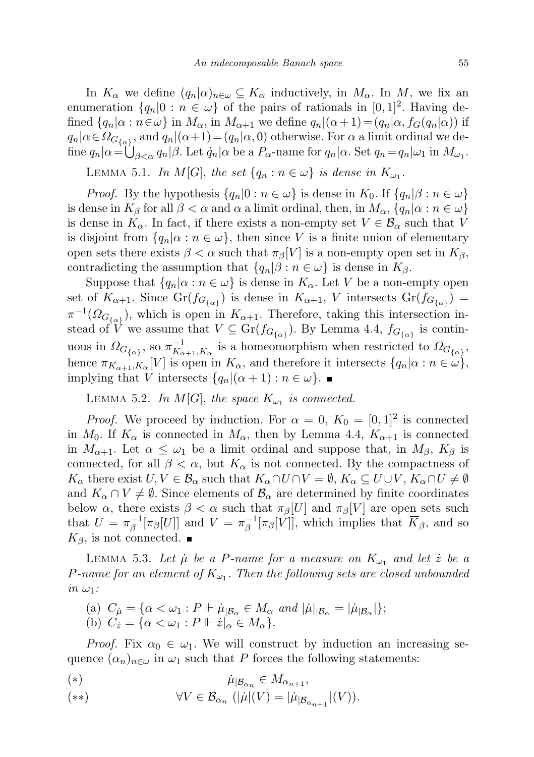In  $K_{\alpha}$  we define  $(q_n|\alpha)_{n\in\omega}\subseteq K_{\alpha}$  inductively, in  $M_{\alpha}$ . In M, we fix an enumeration  $\{q_n|0: n \in \omega\}$  of the pairs of rationals in  $[0,1]^2$ . Having defined  $\{q_n|\alpha : n \in \omega\}$  in  $M_\alpha$ , in  $M_{\alpha+1}$  we define  $q_n|(\alpha+1)=(q_n|\alpha, f_G(q_n|\alpha))$  if  $q_n | \alpha \in \Omega_{G_{\{\alpha\}}},$  and  $q_n | (\alpha + 1) = (q_n | \alpha, 0)$  otherwise. For  $\alpha$  a limit ordinal we define  $q_n|\alpha = \bigcup_{\beta < \alpha} q_n|\beta$ . Let  $\dot{q}_n|\alpha$  be a  $P_\alpha$ -name for  $q_n|\alpha$ . Set  $q_n = q_n|\omega_1$  in  $M_{\omega_1}$ .

LEMMA 5.1. In  $M[G]$ , the set  $\{q_n : n \in \omega\}$  is dense in  $K_{\omega_1}$ .

*Proof.* By the hypothesis  $\{q_n|0: n \in \omega\}$  is dense in  $K_0$ . If  $\{q_n|\beta: n \in \omega\}$ is dense in  $K_\beta$  for all  $\beta < \alpha$  and  $\alpha$  a limit ordinal, then, in  $M_\alpha$ ,  $\{q_n | \alpha : n \in \omega\}$ is dense in  $K_{\alpha}$ . In fact, if there exists a non-empty set  $V \in \mathcal{B}_{\alpha}$  such that V is disjoint from  $\{q_n | \alpha : n \in \omega\}$ , then since V is a finite union of elementary open sets there exists  $\beta < \alpha$  such that  $\pi_{\beta}[V]$  is a non-empty open set in  $K_{\beta}$ , contradicting the assumption that  $\{q_n|\beta : n \in \omega\}$  is dense in  $K_\beta$ .

Suppose that  $\{q_n | \alpha : n \in \omega\}$  is dense in  $K_\alpha$ . Let V be a non-empty open set of  $K_{\alpha+1}$ . Since  $Gr(f_{G_{\{\alpha\}}})$  is dense in  $K_{\alpha+1}$ , V intersects  $Gr(f_{G_{\{\alpha\}}})$  =  $\pi^{-1}(\Omega_{G_{\{\alpha\}}})$ , which is open in  $K_{\alpha+1}$ . Therefore, taking this intersection instead of V we assume that  $V \subseteq Gr(f_{G_{\{\alpha\}}})$ . By Lemma 4.4,  $f_{G_{\{\alpha\}}}$  is continuous in  $\Omega_{G_{\{\alpha\}}},$  so  $\pi_{K_{\alpha}}^{-1}$  $K_{\alpha+1}, K_{\alpha}$  is a homeomorphism when restricted to  $\Omega_{G_{\{\alpha\}}},$ hence  $\pi_{K_{\alpha+1}, K_{\alpha}}[V]$  is open in  $K_{\alpha}$ , and therefore it intersects  $\{q_n | \alpha : n \in \omega\}$ , implying that V intersects  $\{q_n | (\alpha + 1) : n \in \omega \}$ .

LEMMA 5.2. In  $M[G]$ , the space  $K_{\omega_1}$  is connected.

*Proof.* We proceed by induction. For  $\alpha = 0$ ,  $K_0 = [0, 1]^2$  is connected in  $M_0$ . If  $K_\alpha$  is connected in  $M_\alpha$ , then by Lemma 4.4,  $K_{\alpha+1}$  is connected in  $M_{\alpha+1}$ . Let  $\alpha \leq \omega_1$  be a limit ordinal and suppose that, in  $M_{\beta}$ ,  $K_{\beta}$  is connected, for all  $\beta < \alpha$ , but  $K_{\alpha}$  is not connected. By the compactness of  $K_{\alpha}$  there exist  $U, V \in \mathcal{B}_{\alpha}$  such that  $K_{\alpha} \cap U \cap V = \emptyset$ ,  $K_{\alpha} \subseteq U \cup V$ ,  $K_{\alpha} \cap U \neq \emptyset$ and  $K_{\alpha} \cap V \neq \emptyset$ . Since elements of  $\mathcal{B}_{\alpha}$  are determined by finite coordinates below  $\alpha$ , there exists  $\beta < \alpha$  such that  $\pi_{\beta}[U]$  and  $\pi_{\beta}[V]$  are open sets such that  $U = \pi^{-1}$  $\frac{1}{\beta} [\pi_\beta[U]]$  and  $V = \pi_\beta^{-1}$  $\bar{\beta}^{-1}[\pi_{\beta}[V]]$ , which implies that  $K_{\beta}$ , and so  $K_{\beta}$ , is not connected.  $\blacksquare$ 

LEMMA 5.3. Let  $\mu$  be a P-name for a measure on  $K_{\omega_1}$  and let  $\dot{z}$  be a P-name for an element of  $K_{\omega_1}$ . Then the following sets are closed unbounded  $in \omega_1$ :

(a) 
$$
C_{\mu} = {\alpha < \omega_1 : P \Vdash \mu_{|\mathcal{B}_{\alpha}} \in M_{\alpha} \text{ and } |\mu|_{|\mathcal{B}_{\alpha}} = |\mu_{|\mathcal{B}_{\alpha}}|};
$$
  
(b)  $C_{\alpha} = {\alpha < \omega_1 : P \Vdash \mu_{|\mathcal{B}_{\alpha}} \in M_{\alpha}}$ 

(b)  $C_{\dot{z}} = \{ \alpha < \omega_1 : P \Vdash \dot{z}|_{\alpha} \in M_{\alpha} \}.$ 

*Proof.* Fix  $\alpha_0 \in \omega_1$ . We will construct by induction an increasing sequence  $(\alpha_n)_{n\in\omega}$  in  $\omega_1$  such that P forces the following statements:

$$
(*)\qquad \qquad \dot{\mu}_{|\mathcal{B}_{\alpha_n}} \in M_{\alpha_{n+1}},
$$

$$
(**) \qquad \forall V \in \mathcal{B}_{\alpha_n} \ (\|\mu\|(V) = \|\mu_{|\mathcal{B}_{\alpha_{n+1}}|}(V)).
$$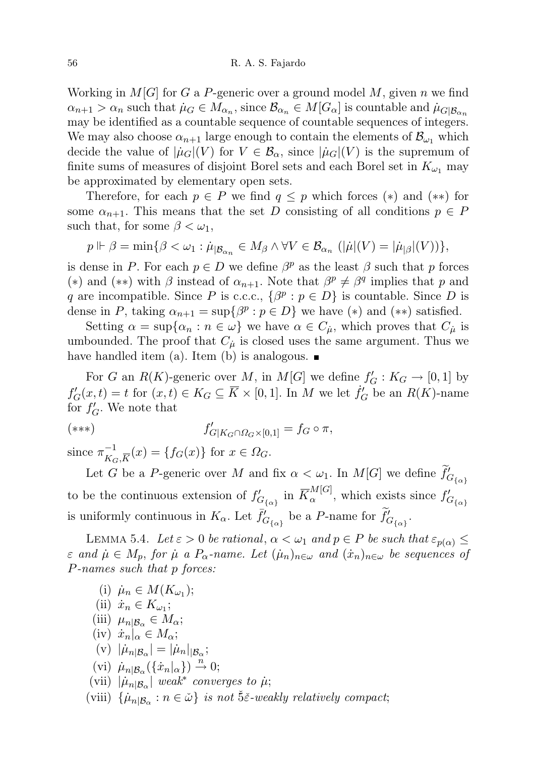Working in  $M[G]$  for G a P-generic over a ground model M, given n we find  $\alpha_{n+1} > \alpha_n$  such that  $\mu_G \in M_{\alpha_n}$ , since  $\mathcal{B}_{\alpha_n} \in M[G_\alpha]$  is countable and  $\mu_{G|\mathcal{B}_{\alpha_n}}$ may be identified as a countable sequence of countable sequences of integers. We may also choose  $\alpha_{n+1}$  large enough to contain the elements of  $\mathcal{B}_{\omega_1}$  which decide the value of  $|\mu_G|(V)$  for  $V \in \mathcal{B}_{\alpha}$ , since  $|\mu_G|(V)$  is the supremum of finite sums of measures of disjoint Borel sets and each Borel set in  $K_{\omega_1}$  may be approximated by elementary open sets.

Therefore, for each  $p \in P$  we find  $q \leq p$  which forces  $(*)$  and  $(**)$  for some  $\alpha_{n+1}$ . This means that the set D consisting of all conditions  $p \in P$ such that, for some  $\beta < \omega_1$ ,

$$
p \Vdash \beta = \min \{ \beta < \omega_1 : \dot{\mu}_{|B_{\alpha_n}} \in M_\beta \land \forall V \in \mathcal{B}_{\alpha_n} \ (\|\dot{\mu}((V) = |\dot{\mu}_{|\beta}|(V)) \},\
$$

is dense in P. For each  $p \in D$  we define  $\beta^p$  as the least  $\beta$  such that p forces (\*) and (\*\*) with  $\beta$  instead of  $\alpha_{n+1}$ . Note that  $\beta^p \neq \beta^q$  implies that p and q are incompatible. Since P is c.c.c.,  $\{\beta^p : p \in D\}$  is countable. Since D is dense in P, taking  $\alpha_{n+1} = \sup \{ \beta^p : p \in D \}$  we have (\*) and (\*\*) satisfied.

Setting  $\alpha = \sup\{\alpha_n : n \in \omega\}$  we have  $\alpha \in C_{\mu}$ , which proves that  $C_{\mu}$  is umbounded. The proof that  $C_{\mu}$  is closed uses the same argument. Thus we have handled item (a). Item (b) is analogous.  $\blacksquare$ 

For G an  $R(K)$ -generic over M, in  $M[G]$  we define  $f'_{G}: K_G \to [0,1]$  by  $f'_{G}(x,t) = t$  for  $(x,t) \in K_G \subseteq \overline{K} \times [0,1]$ . In M we let  $\dot{f}'_{G}$  be an  $R(K)$ -name for  $f'_{G}$ . We note that

$$
(*)\qquad \qquad f'_{G|K_G\cap\Omega_G\times[0,1]}=f_G\circ\pi,
$$

since  $\pi^{-1}_{\nu}$  $_{K_{G},\overline{K}}^{-1}(x) = \{f_{G}(x)\}\text{ for }x\in\Omega_{G}.$ 

Let G be a P-generic over M and fix  $\alpha < \omega_1$ . In  $M[G]$  we define  $\tilde{f}'_{G_{\{\alpha\}}}$ to be the continuous extension of  $f'_{G_{\{\alpha\}}}\$ in  $\overline{K}^{M[G]}_{\alpha}$ , which exists since  $f'_{G_{\{\alpha\}}}$ is uniformly continuous in  $K_{\alpha}$ . Let  $\bar{f}'_{G_{\{\alpha\}}}$  be a P-name for  $\tilde{f}'_{G_{\{\alpha\}}}$ .

LEMMA 5.4. Let  $\varepsilon > 0$  be rational,  $\alpha < \omega_1$  and  $p \in P$  be such that  $\varepsilon_{p(\alpha)} \leq$  $\varepsilon$  and  $\mu \in M_p$ , for  $\mu$  a  $P_\alpha$ -name. Let  $(\mu_n)_{n \in \omega}$  and  $(\dot{x}_n)_{n \in \omega}$  be sequences of P-names such that p forces:

- (i)  $\mu_n \in M(K_{\omega_1});$
- (ii)  $\dot{x}_n \in K_{\omega_1};$
- (iii)  $\mu_{n|\mathcal{B}_{\alpha}} \in M_{\alpha};$
- (iv)  $\dot{x}_n|_{\alpha} \in M_{\alpha};$
- (v)  $|\dot{\mu}_{n|\mathcal{B}_{\alpha}}| = |\dot{\mu}_{n}|_{|\mathcal{B}_{\alpha}};$
- (vi)  $\mu_{n|\mathcal{B}_{\alpha}}(\{\dot{x}_n|_{\alpha}\}) \stackrel{n}{\rightarrow} 0;$
- (vii)  $|\mu_{n|\mathcal{B}_{\alpha}}|$  weak<sup>\*</sup> converges to  $\mu$ ;
- (viii)  $\{\mu_{n|\mathcal{B}_{\alpha}} : n \in \mathcal{D}\}\$ is not Šč-weakly relatively compact;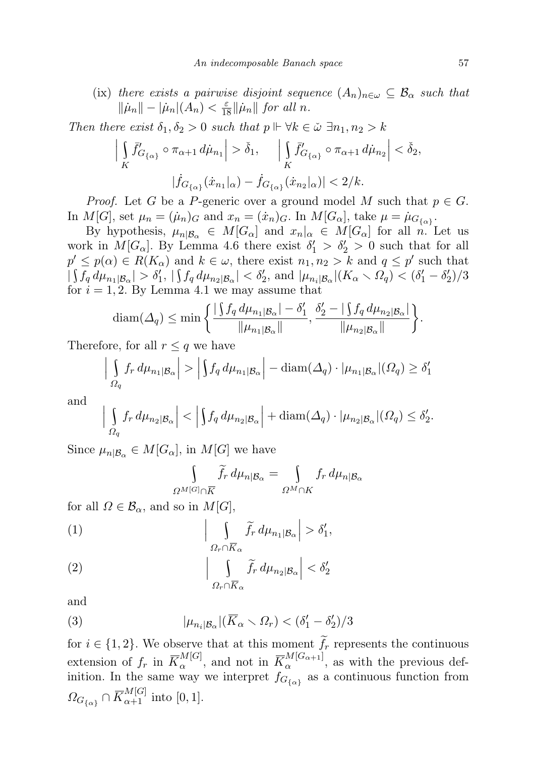(ix) there exists a pairwise disjoint sequence  $(A_n)_{n\in\omega} \subseteq \mathcal{B}_\alpha$  such that  $\|\dot{\mu}_n\| - |\dot{\mu}_n|(A_n) < \frac{\varepsilon}{18} \|\dot{\mu}_n\|$  for all n.

Then there exist  $\delta_1, \delta_2 > 0$  such that  $p \Vdash \forall k \in \tilde{\omega} \exists n_1, n_2 > k$ 

$$
\left| \int\limits_K \bar{f}'_{G_{\{\alpha\}}}\circ \pi_{\alpha+1} d\mu_{n_1} \right| > \check{\delta}_1, \quad \left| \int\limits_K \bar{f}'_{G_{\{\alpha\}}}\circ \pi_{\alpha+1} d\mu_{n_2} \right| < \check{\delta}_2,
$$

$$
|\dot{f}_{G_{\{\alpha\}}}(x_{n_1}|\alpha) - \dot{f}_{G_{\{\alpha\}}}(x_{n_2}|\alpha)| < 2/k.
$$

*Proof.* Let G be a P-generic over a ground model M such that  $p \in G$ . In  $M[G]$ , set  $\mu_n = (\dot{\mu}_n)_G$  and  $x_n = (\dot{x}_n)_G$ . In  $M[G_\alpha]$ , take  $\mu = \dot{\mu}_{G_{\{\alpha\}}}$ .

By hypothesis,  $\mu_{n|\mathcal{B}_{\alpha}} \in M[G_{\alpha}]$  and  $x_n|_{\alpha} \in M[G_{\alpha}]$  for all n. Let us work in  $M[G_\alpha]$ . By Lemma 4.6 there exist  $\delta'_1 > \delta'_2 > 0$  such that for all  $p' \leq p(\alpha) \in R(K_\alpha)$  and  $k \in \omega$ , there exist  $n_1, n_2 > k$  and  $q \leq p'$  such that  $|\int f_q d\mu_{n_1|\mathcal{B}_\alpha}| > \delta_1', |\int f_q d\mu_{n_2|\mathcal{B}_\alpha}| < \delta_2', \text{ and } |\mu_{n_i|\mathcal{B}_\alpha}| (K_\alpha \setminus \Omega_q) < (\delta_1' - \delta_2') / 3$ for  $i = 1, 2$ . By Lemma 4.1 we may assume that

$$
\text{diam}(\Delta_q) \le \min \bigg\{ \frac{|\int f_q d\mu_{n_1|\mathcal{B}_\alpha}| - \delta_1'}{\|\mu_{n_1|\mathcal{B}_\alpha}\|}, \frac{\delta_2' - |\int f_q d\mu_{n_2|\mathcal{B}_\alpha}|}{\|\mu_{n_2|\mathcal{B}_\alpha}\|} \bigg\}.
$$

Therefore, for all  $r \leq q$  we have

$$
\left| \int_{\Omega_q} f_r \, d\mu_{n_1|\mathcal{B}_\alpha} \right| > \left| \int f_q \, d\mu_{n_1|\mathcal{B}_\alpha} \right| - \text{diam}(\Delta_q) \cdot |\mu_{n_1|\mathcal{B}_\alpha}|(\Omega_q) \ge \delta_1'
$$

and

$$
\left| \int_{\Omega_q} f_r d\mu_{n_2|\mathcal{B}_\alpha} \right| < \left| \int f_q d\mu_{n_2|\mathcal{B}_\alpha} \right| + \text{diam}(\Delta_q) \cdot |\mu_{n_2|\mathcal{B}_\alpha}|(\Omega_q) \le \delta'_2.
$$

Since  $\mu_{n|\mathcal{B}_{\alpha}} \in M[G_{\alpha}],$  in  $M[G]$  we have

$$
\int_{\Omega^M[G]\cap \overline{K}} \widetilde{f}_r \, d\mu_{n|B_\alpha} = \int_{\Omega^M\cap K} f_r \, d\mu_{n|B_\alpha}
$$

for all  $\Omega \in \mathcal{B}_{\alpha}$ , and so in  $M[G]$ ,

(1) 
$$
\left| \int_{\Omega_r \cap \overline{K}_{\alpha}} \widetilde{f}_r d\mu_{n_1 | \mathcal{B}_{\alpha}} \right| > \delta'_1,
$$

(2) 
$$
\left| \int_{\Omega_{\tau} \cap \overline{K}_{\alpha}} \widetilde{f}_{r} d\mu_{n_{2}|\mathcal{B}_{\alpha}} \right| < \delta_{2}'
$$

and

(3) 
$$
|\mu_{n_i|\mathcal{B}_{\alpha}}|(\overline{K}_{\alpha} \setminus \Omega_r) < (\delta'_1 - \delta'_2)/3
$$

for  $i \in \{1, 2\}$ . We observe that at this moment  $f_r$  represents the continuous extension of  $f_r$  in  $\overline{K}_{\alpha}^{M[G]}$ , and not in  $\overline{K}_{\alpha}^{M[G_{\alpha+1}]}$ , as with the previous definition. In the same way we interpret  $f_{G_{\{\alpha\}}}$  as a continuous function from  $\Omega_{G_{\{\alpha\}}} \cap \overline{K}_{\alpha+1}^{M[G]}$  into [0, 1].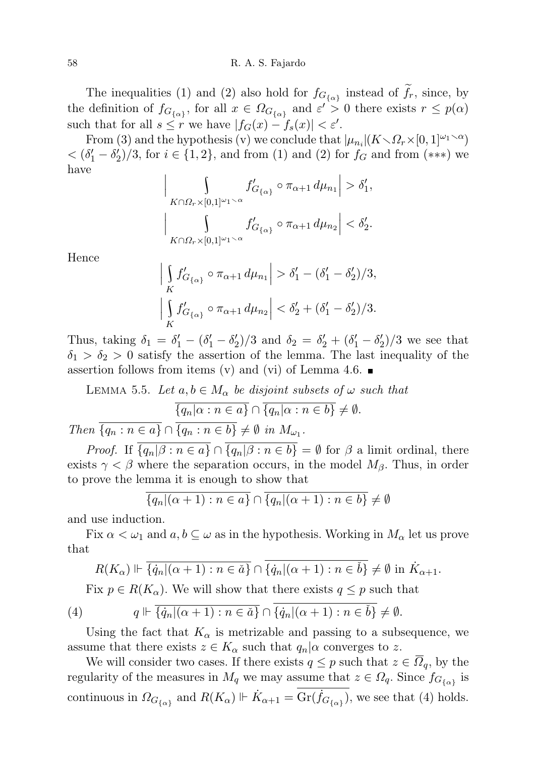The inequalities (1) and (2) also hold for  $f_{G_{\{\alpha\}}}$  instead of  $f_r$ , since, by the definition of  $f_{G_{\{\alpha\}}},$  for all  $x \in \Omega_{G_{\{\alpha\}}}$  and  $\varepsilon' > 0$  there exists  $r \leq p(\alpha)$ such that for all  $s \leq r$  we have  $|f_G(x) - f_s(x)| < \varepsilon'$ .

From (3) and the hypothesis (v) we conclude that  $|\mu_{n_i}|(K \setminus \Omega_r \times [0,1]^{\omega_1 \setminus \alpha})$  $<(\delta'_1 - \delta'_2)/3$ , for  $i \in \{1,2\}$ , and from (1) and (2) for  $f_G$  and from (\*\*\*) we have  $\bigg\}$ 

$$
\int\limits_{K\cap\Omega_r\times[0,1]^{\omega_1\smallsetminus\alpha}}f'_{G_{\{\alpha\}}}\circ\pi_{\alpha+1}\,d\mu_{n_1}\Big|>\delta_1',
$$
  

$$
\int\limits_{K\cap\Omega_r\times[0,1]^{\omega_1\smallsetminus\alpha}}f'_{G_{\{\alpha\}}}\circ\pi_{\alpha+1}\,d\mu_{n_2}\Big|<\delta_2'.
$$

Hence

 $\bigg]$  $\vert$ 

 $\bigg\}$  $\bigg]$  $\vert$ 

$$
\left| \int\limits_K f'_{G_{\{\alpha\}}} \circ \pi_{\alpha+1} d\mu_{n_1} \right| > \delta'_1 - (\delta'_1 - \delta'_2)/3,
$$
  

$$
\left| \int\limits_K f'_{G_{\{\alpha\}}} \circ \pi_{\alpha+1} d\mu_{n_2} \right| < \delta'_2 + (\delta'_1 - \delta'_2)/3.
$$

Thus, taking  $\delta_1 = \delta_1' - (\delta_1' - \delta_2')/3$  and  $\delta_2 = \delta_2' + (\delta_1' - \delta_2')/3$  we see that  $\delta_1 > \delta_2 > 0$  satisfy the assertion of the lemma. The last inequality of the assertion follows from items (v) and (vi) of Lemma 4.6.  $\blacksquare$ 

LEMMA 5.5. Let 
$$
a, b \in M_{\alpha}
$$
 be disjoint subsets of  $\omega$  such that  
\n
$$
\overline{\{q_n | \alpha : n \in a\}} \cap \overline{\{q_n | \alpha : n \in b\}} \neq \emptyset.
$$
\nThen  $\overline{\{q_n : n \in a\}} \cap \overline{\{q_n : n \in b\}} \neq \emptyset$  in  $M_{\omega_1}$ .

*Proof.* If  $\overline{\{q_n|\beta : n \in a\}} \cap \overline{\{q_n|\beta : n \in b\}} = \emptyset$  for  $\beta$  a limit ordinal, there exists  $\gamma < \beta$  where the separation occurs, in the model  $M_{\beta}$ . Thus, in order to prove the lemma it is enough to show that

$$
\overline{\{q_n|(\alpha+1) : n \in a\}} \cap \overline{\{q_n|(\alpha+1) : n \in b\}} \neq \emptyset
$$

and use induction.

Fix  $\alpha < \omega_1$  and  $a, b \subseteq \omega$  as in the hypothesis. Working in  $M_\alpha$  let us prove that

$$
R(K_{\alpha}) \Vdash \overline{\{q_n|(\alpha+1) : n \in \check{a}\}} \cap \overline{\{q_n|(\alpha+1) : n \in \check{b}\}} \neq \emptyset \text{ in } \dot{K}_{\alpha+1}.
$$

Fix  $p \in R(K_\alpha)$ . We will show that there exists  $q \leq p$  such that

(4) 
$$
q \Vdash \overline{\{ \dot{q}_n | (\alpha+1) : n \in \check{a} \}} \cap \overline{\{ \dot{q}_n | (\alpha+1) : n \in \check{b} \}} \neq \emptyset.
$$

Using the fact that  $K_{\alpha}$  is metrizable and passing to a subsequence, we assume that there exists  $z \in K_\alpha$  such that  $q_n | \alpha$  converges to z.

We will consider two cases. If there exists  $q \leq p$  such that  $z \in \Omega_q$ , by the regularity of the measures in  $M_q$  we may assume that  $z \in \Omega_q$ . Since  $f_{G_{\{\alpha\}}}$  is continuous in  $\Omega_{G_{\{\alpha\}}}$  and  $R(K_{\alpha}) \Vdash \dot{K}_{\alpha+1} = \text{Gr}(\dot{f}_{G_{\{\alpha\}}})$ , we see that (4) holds.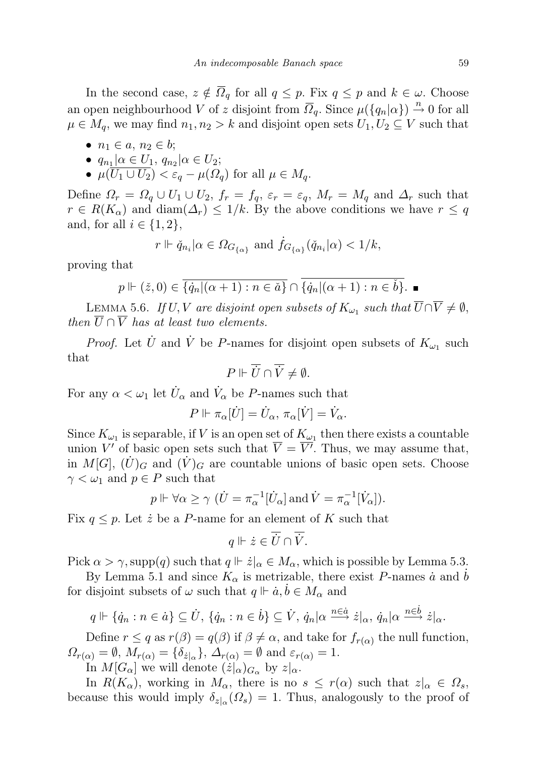In the second case,  $z \notin \overline{\Omega}_q$  for all  $q \leq p$ . Fix  $q \leq p$  and  $k \in \omega$ . Choose an open neighbourhood V of z disjoint from  $\overline{Q}_q$ . Since  $\mu({q_n | \alpha}) \stackrel{n}{\rightarrow} 0$  for all  $\mu \in M_q$ , we may find  $n_1, n_2 > k$  and disjoint open sets  $U_1, U_2 \subseteq V$  such that

- $n_1 \in a, n_2 \in b;$
- $q_{n_1} | \alpha \in U_1, q_{n_2} | \alpha \in U_2;$
- $\mu(\overline{U_1 \cup U_2}) < \varepsilon_a \mu(\Omega_a)$  for all  $\mu \in M_a$ .

Define  $\Omega_r = \Omega_q \cup U_1 \cup U_2$ ,  $f_r = f_q$ ,  $\varepsilon_r = \varepsilon_q$ ,  $M_r = M_q$  and  $\Delta_r$  such that  $r \in R(K_\alpha)$  and  $\text{diam}(\Delta_r) \leq 1/k$ . By the above conditions we have  $r \leq q$ and, for all  $i \in \{1, 2\}$ ,

$$
r \Vdash \check{q}_{n_i} | \alpha \in \Omega_{G_{\{\alpha\}}}
$$
 and  $\dot{f}_{G_{\{\alpha\}}}(\check{q}_{n_i}|\alpha) < 1/k$ ,

proving that

$$
p \Vdash (\check{z}, 0) \in \overline{\{\dot{q}_n | (\alpha + 1) : n \in \check{a}\}} \cap \overline{\{\dot{q}_n | (\alpha + 1) : n \in \check{b}\}}.
$$

LEMMA 5.6. If  $U, V$  are disjoint open subsets of  $K_{\omega_1}$  such that  $\overline{U} \cap \overline{V} \neq \emptyset$ , then  $\overline{U} \cap \overline{V}$  has at least two elements.

*Proof.* Let  $\dot{U}$  and  $\dot{V}$  be P-names for disjoint open subsets of  $K_{\omega_1}$  such that

$$
P \Vdash \overline{U} \cap \overline{V} \neq \emptyset.
$$

For any  $\alpha < \omega_1$  let  $\dot{U}_{\alpha}$  and  $\dot{V}_{\alpha}$  be *P*-names such that

$$
P \Vdash \pi_{\alpha}[\dot{U}] = \dot{U}_{\alpha}, \pi_{\alpha}[\dot{V}] = \dot{V}_{\alpha}.
$$

Since  $K_{\omega_1}$  is separable, if V is an open set of  $K_{\omega_1}$  then there exists a countable union V' of basic open sets such that  $\overline{V} = \overline{V'}$ . Thus, we may assume that, in  $M[G], (U)_G$  and  $(V)_G$  are countable unions of basic open sets. Choose  $\gamma < \omega_1$  and  $p \in P$  such that

$$
p \Vdash \forall \alpha \ge \gamma \ (\dot{U} = \pi_{\alpha}^{-1}[\dot{U}_{\alpha}] \text{ and } \dot{V} = \pi_{\alpha}^{-1}[\dot{V}_{\alpha}]).
$$

Fix  $q \leq p$ . Let  $\dot{z}$  be a P-name for an element of K such that

$$
q \Vdash \dot{z} \in \overline{\dot{U}} \cap \overline{\dot{V}}.
$$

Pick  $\alpha > \gamma$ , supp $(q)$  such that  $q \Vdash \dot{z}|_{\alpha} \in M_{\alpha}$ , which is possible by Lemma 5.3.

By Lemma 5.1 and since  $K_{\alpha}$  is metrizable, there exist P-names  $\dot{a}$  and  $b$ for disjoint subsets of  $\omega$  such that  $q \Vdash \dot{a}, \dot{b} \in M_{\alpha}$  and

$$
q \Vdash \{\dot{q}_n : n \in \dot{a}\} \subseteq \dot{U}, \ \{\dot{q}_n : n \in \dot{b}\} \subseteq \dot{V}, \ \dot{q}_n | \alpha \stackrel{n \in \dot{a}}{\longrightarrow} \dot{z} |_{\alpha}, \ \dot{q}_n | \alpha \stackrel{n \in \dot{b}}{\longrightarrow} \dot{z} |_{\alpha}.
$$

Define  $r \leq q$  as  $r(\beta) = q(\beta)$  if  $\beta \neq \alpha$ , and take for  $f_{r(\alpha)}$  the null function,  $\Omega_{r(\alpha)} = \emptyset$ ,  $M_{r(\alpha)} = {\delta_{z|_{\alpha}}}$ ,  $\Delta_{r(\alpha)} = \emptyset$  and  $\varepsilon_{r(\alpha)} = 1$ .

In  $M[G_\alpha]$  we will denote  $(\dot{z}|_\alpha)_{G_\alpha}$  by  $z|_\alpha$ .

In  $R(K_{\alpha})$ , working in  $M_{\alpha}$ , there is no  $s \leq r(\alpha)$  such that  $z|_{\alpha} \in \Omega_s$ , because this would imply  $\delta_{z|\alpha}(\Omega_s) = 1$ . Thus, analogously to the proof of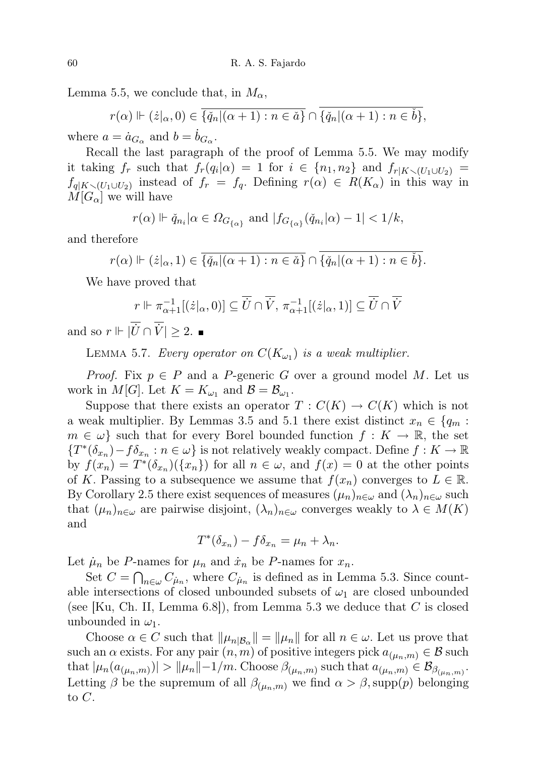Lemma 5.5, we conclude that, in  $M_{\alpha}$ ,

$$
r(\alpha) \Vdash (\dot{z}|_{\alpha}, 0) \in \overline{\{\check{q}_n|(\alpha+1) : n \in \check{a}\}} \cap \overline{\{\check{q}_n|(\alpha+1) : n \in \check{b}\}},
$$
  

$$
a = \dot{a}_{\alpha}
$$
 and 
$$
b = \dot{b}_{\alpha}
$$

where  $a = \dot{a}_{G_\alpha}$  and  $b = \dot{b}_{G_\alpha}$ .

Recall the last paragraph of the proof of Lemma 5.5. We may modify it taking  $f_r$  such that  $f_r(q_i|\alpha) = 1$  for  $i \in \{n_1, n_2\}$  and  $f_{r|K \setminus (U_1 \cup U_2)} =$  $f_{q|K\setminus (U_1\cup U_2)}$  instead of  $f_r = f_q$ . Defining  $r(\alpha) \in R(K_\alpha)$  in this way in  $M[G_\alpha]$  we will have

$$
r(\alpha) \Vdash \check{q}_{n_i}|\alpha \in \varOmega_{G_{\{\alpha\}}}\text{ and } |f_{G_{\{\alpha\}}}(\check{q}_{n_i}|\alpha) - 1| < 1/k,
$$

and therefore

$$
r(\alpha) \Vdash (\dot{z}|_{\alpha}, 1) \in \overline{\{\check{q}_n|(\alpha+1) : n \in \check{a}\}} \cap \overline{\{\check{q}_n|(\alpha+1) : n \in \check{b}\}}.
$$

We have proved that

$$
r \Vdash \pi_{\alpha+1}^{-1}[(\dot{z}|_{\alpha},0)] \subseteq \overline{\dot{U}} \cap \overline{\dot{V}}, \pi_{\alpha+1}^{-1}[(\dot{z}|_{\alpha},1)] \subseteq \overline{\dot{U}} \cap \overline{\dot{V}}
$$
  

$$
\overline{\dot{V}} \cap \overline{\dot{V}} \supseteq 2 -
$$

and so  $r \Vdash |\dot{U} \cap \dot{V}| \geq 2$ .

LEMMA 5.7. Every operator on  $C(K_{\omega_1})$  is a weak multiplier.

*Proof.* Fix  $p \in P$  and a P-generic G over a ground model M. Let us work in  $M[G]$ . Let  $K = K_{\omega_1}$  and  $\mathcal{B} = \mathcal{B}_{\omega_1}$ .

Suppose that there exists an operator  $T: C(K) \to C(K)$  which is not a weak multiplier. By Lemmas 3.5 and 5.1 there exist distinct  $x_n \in \{q_m :$  $m \in \omega$  such that for every Borel bounded function  $f: K \to \mathbb{R}$ , the set  ${T^*(\delta_{x_n}) - f \delta_{x_n} : n \in \omega}$  is not relatively weakly compact. Define  $f : K \to \mathbb{R}$ by  $f(x_n) = T^*(\delta_{x_n})(\{x_n\})$  for all  $n \in \omega$ , and  $f(x) = 0$  at the other points of K. Passing to a subsequence we assume that  $f(x_n)$  converges to  $L \in \mathbb{R}$ . By Corollary 2.5 there exist sequences of measures  $(\mu_n)_{n\in\omega}$  and  $(\lambda_n)_{n\in\omega}$  such that  $(\mu_n)_{n\in\omega}$  are pairwise disjoint,  $(\lambda_n)_{n\in\omega}$  converges weakly to  $\lambda\in M(K)$ and

$$
T^*(\delta_{x_n}) - f \delta_{x_n} = \mu_n + \lambda_n.
$$

Let  $\mu_n$  be P-names for  $\mu_n$  and  $\dot{x}_n$  be P-names for  $x_n$ .

Set  $C = \bigcap_{n \in \omega} C_{\mu_n}$ , where  $C_{\mu_n}$  is defined as in Lemma 5.3. Since countable intersections of closed unbounded subsets of  $\omega_1$  are closed unbounded (see [Ku, Ch. II, Lemma  $6.8$ ]), from Lemma  $5.3$  we deduce that C is closed unbounded in  $\omega_1$ .

Choose  $\alpha \in C$  such that  $\|\mu_{n|\mathcal{B}_{\alpha}}\| = \|\mu_{n}\|$  for all  $n \in \omega$ . Let us prove that such an  $\alpha$  exists. For any pair  $(n, m)$  of positive integers pick  $a_{(\mu_n,m)} \in \mathcal{B}$  such that  $|\mu_n(a_{(\mu_n,m)})| > ||\mu_n||-1/m$ . Choose  $\beta_{(\mu_n,m)}$  such that  $a_{(\mu_n,m)} \in \mathcal{B}_{\beta_{(\mu_n,m)}}$ . Letting  $\beta$  be the supremum of all  $\beta_{(\mu_n,m)}$  we find  $\alpha > \beta$ , supp $(p)$  belonging to C.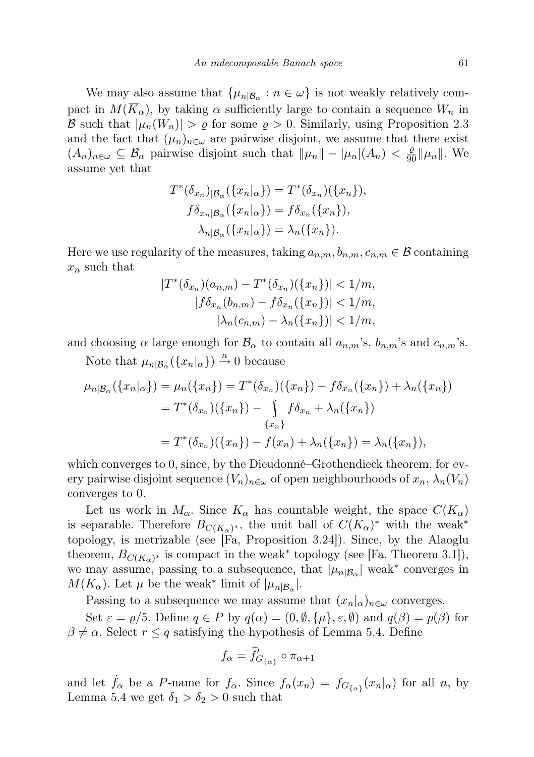We may also assume that  $\{\mu_{n|\mathcal{B}_{\alpha}} : n \in \omega\}$  is not weakly relatively compact in  $M(\overline{K}_{\alpha})$ , by taking  $\alpha$  sufficiently large to contain a sequence  $W_n$  in B such that  $|\mu_n(W_n)| > \varrho$  for some  $\varrho > 0$ . Similarly, using Proposition 2.3 and the fact that  $(\mu_n)_{n\in\omega}$  are pairwise disjoint, we assume that there exist  $(A_n)_{n\in\omega}\subseteq\mathcal{B}_\alpha$  pairwise disjoint such that  $\|\mu_n\|-\mu_n|(A_n)<\frac{\varrho}{90}\|\mu_n\|$ . We assume yet that

$$
T^*(\delta_{x_n})_{|\mathcal{B}_{\alpha}}(\{x_n|_{\alpha}\}) = T^*(\delta_{x_n})(\{x_n\}),
$$
  
\n
$$
f\delta_{x_n|\mathcal{B}_{\alpha}}(\{x_n|_{\alpha}\}) = f\delta_{x_n}(\{x_n\}),
$$
  
\n
$$
\lambda_{n|\mathcal{B}_{\alpha}}(\{x_n|_{\alpha}\}) = \lambda_n(\{x_n\}).
$$

Here we use regularity of the measures, taking  $a_{n,m}, b_{n,m}, c_{n,m} \in \mathcal{B}$  containing  $x_n$  such that

$$
|T^*(\delta_{x_n})(a_{n,m}) - T^*(\delta_{x_n})(\{x_n\})| < 1/m,
$$
  
\n
$$
|f\delta_{x_n}(b_{n,m}) - f\delta_{x_n}(\{x_n\})| < 1/m,
$$
  
\n
$$
|\lambda_n(c_{n,m}) - \lambda_n(\{x_n\})| < 1/m,
$$

and choosing  $\alpha$  large enough for  $\mathcal{B}_{\alpha}$  to contain all  $a_{n,m}$ 's,  $b_{n,m}$ 's and  $c_{n,m}$ 's.

Note that  $\mu_{n|\mathcal{B}_{\alpha}}(\{x_n|_{\alpha}\}) \stackrel{n}{\rightarrow} 0$  because

$$
\mu_{n|B_{\alpha}}(\{x_{n}|_{\alpha}\}) = \mu_{n}(\{x_{n}\}) = T^{*}(\delta_{x_{n}})(\{x_{n}\}) - f\delta_{x_{n}}(\{x_{n}\}) + \lambda_{n}(\{x_{n}\})
$$

$$
= T^{*}(\delta_{x_{n}})(\{x_{n}\}) - \int_{\{x_{n}\}} f\delta_{x_{n}} + \lambda_{n}(\{x_{n}\})
$$

$$
= T^{*}(\delta_{x_{n}})(\{x_{n}\}) - f(x_{n}) + \lambda_{n}(\{x_{n}\}) = \lambda_{n}(\{x_{n}\}),
$$

which converges to 0, since, by the Dieudonné–Grothendieck theorem, for every pairwise disjoint sequence  $(V_n)_{n\in\omega}$  of open neighbourhoods of  $x_n, \lambda_n(V_n)$ converges to 0.

Let us work in  $M_{\alpha}$ . Since  $K_{\alpha}$  has countable weight, the space  $C(K_{\alpha})$ is separable. Therefore  $B_{C(K_{\alpha})^*}$ , the unit ball of  $C(K_{\alpha})^*$  with the weak<sup>\*</sup> topology, is metrizable (see [Fa, Proposition 3.24]). Since, by the Alaoglu theorem,  $B_{C(K_{\alpha})^*}$  is compact in the weak<sup>\*</sup> topology (see [Fa, Theorem 3.1]), we may assume, passing to a subsequence, that  $|\mu_{n|\mathcal{B}_{\alpha}}|$  weak<sup>\*</sup> converges in  $M(K_{\alpha})$ . Let  $\mu$  be the weak<sup>\*</sup> limit of  $|\mu_{n|\mathcal{B}_{\alpha}}|$ .

Passing to a subsequence we may assume that  $(x_n|_{\alpha})_{n\in\omega}$  converges.

Set  $\varepsilon = \varrho/5$ . Define  $q \in P$  by  $q(\alpha) = (0, \emptyset, {\mu}, \varepsilon, \emptyset)$  and  $q(\beta) = p(\beta)$  for  $\beta \neq \alpha$ . Select  $r \leq q$  satisfying the hypothesis of Lemma 5.4. Define

$$
f_{\alpha} = \widetilde{f}'_{G_{\{\alpha\}}}\circ \pi_{\alpha+1}
$$

and let  $\dot{f}_{\alpha}$  be a P-name for  $f_{\alpha}$ . Since  $f_{\alpha}(x_n) = f_{G_{\{\alpha\}}}(x_n|_{\alpha})$  for all n, by Lemma 5.4 we get  $\delta_1 > \delta_2 > 0$  such that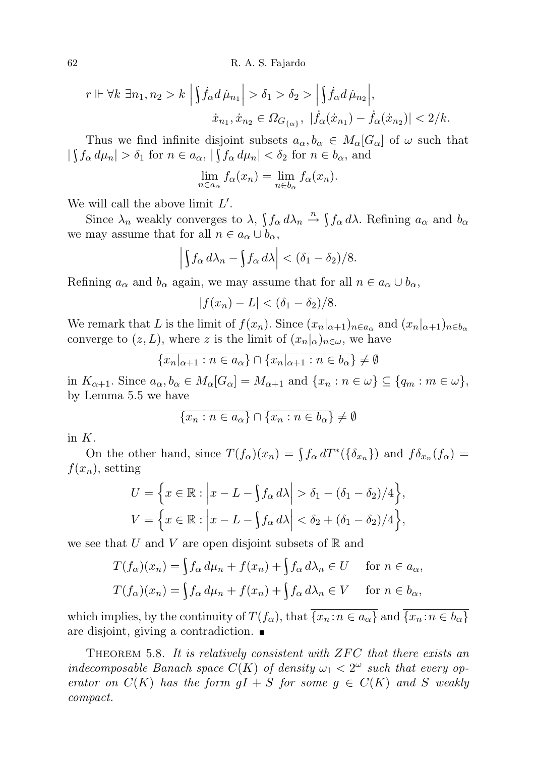62 R. A. S. Fajardo

$$
r \Vdash \forall k \ \exists n_1, n_2 > k \ \Big| \int \dot{f}_{\alpha} d\,\dot{\mu}_{n_1} \Big| > \delta_1 > \delta_2 > \Big| \int \dot{f}_{\alpha} d\,\dot{\mu}_{n_2} \Big|,
$$
  

$$
\dot{x}_{n_1}, \dot{x}_{n_2} \in \Omega_{G_{\{\alpha\}}}, \ |\dot{f}_{\alpha}(\dot{x}_{n_1}) - \dot{f}_{\alpha}(\dot{x}_{n_2})| < 2/k.
$$

Thus we find infinite disjoint subsets  $a_{\alpha}, b_{\alpha} \in M_{\alpha}[G_{\alpha}]$  of  $\omega$  such that  $|\int f_{\alpha} d\mu_n| > \delta_1$  for  $n \in a_{\alpha}$ ,  $|\int f_{\alpha} d\mu_n| < \delta_2$  for  $n \in b_{\alpha}$ , and

$$
\lim_{n \in a_{\alpha}} f_{\alpha}(x_n) = \lim_{n \in b_{\alpha}} f_{\alpha}(x_n).
$$

We will call the above limit  $L'$ .

Since  $\lambda_n$  weakly converges to  $\lambda$ ,  $\int f_\alpha d\lambda_n \stackrel{n}{\rightarrow} \int f_\alpha d\lambda$ . Refining  $a_\alpha$  and  $b_\alpha$ we may assume that for all  $n \in a_{\alpha} \cup b_{\alpha}$ ,

$$
\left| \int f_{\alpha} \, d\lambda_n - \int f_{\alpha} \, d\lambda \right| < (\delta_1 - \delta_2) / 8.
$$

Refining  $a_{\alpha}$  and  $b_{\alpha}$  again, we may assume that for all  $n \in a_{\alpha} \cup b_{\alpha}$ ,

$$
|f(x_n) - L| < (\delta_1 - \delta_2)/8.
$$

We remark that L is the limit of  $f(x_n)$ . Since  $(x_n|_{\alpha+1})_{n\in a_\alpha}$  and  $(x_n|_{\alpha+1})_{n\in b_\alpha}$ converge to  $(z, L)$ , where z is the limit of  $(x_n|_{\alpha})_{n \in \omega}$ , we have

$$
\overline{\{x_n|_{\alpha+1} : n \in a_{\alpha}\}} \cap \overline{\{x_n|_{\alpha+1} : n \in b_{\alpha}\}} \neq \emptyset
$$

in  $K_{\alpha+1}$ . Since  $a_{\alpha}, b_{\alpha} \in M_{\alpha}[G_{\alpha}] = M_{\alpha+1}$  and  $\{x_n : n \in \omega\} \subseteq \{q_m : m \in \omega\},$ by Lemma 5.5 we have

$$
\overline{\{x_n : n \in a_\alpha\}} \cap \overline{\{x_n : n \in b_\alpha\}} \neq \emptyset
$$

in K.

On the other hand, since  $T(f_{\alpha})(x_n) = \int f_{\alpha} dT^*({\delta_{x_n}})$  and  $f_{\alpha}(\mathcal{f}_{\alpha}) =$  $f(x_n)$ , setting

$$
U = \left\{ x \in \mathbb{R} : \left| x - L - \int f_{\alpha} d\lambda \right| > \delta_1 - (\delta_1 - \delta_2)/4 \right\},
$$
  

$$
V = \left\{ x \in \mathbb{R} : \left| x - L - \int f_{\alpha} d\lambda \right| < \delta_2 + (\delta_1 - \delta_2)/4 \right\},\
$$

we see that U and V are open disjoint subsets of  $\mathbb R$  and

$$
T(f_{\alpha})(x_n) = \int f_{\alpha} d\mu_n + f(x_n) + \int f_{\alpha} d\lambda_n \in U \quad \text{for } n \in a_{\alpha},
$$
  

$$
T(f_{\alpha})(x_n) = \int f_{\alpha} d\mu_n + f(x_n) + \int f_{\alpha} d\lambda_n \in V \quad \text{for } n \in b_{\alpha},
$$

which implies, by the continuity of  $T(f_\alpha)$ , that  $\overline{\{x_n : n \in a_\alpha\}}$  and  $\overline{\{x_n : n \in b_\alpha\}}$ are disjoint, giving a contradiction.

THEOREM 5.8. It is relatively consistent with  $ZFC$  that there exists an indecomposable Banach space  $C(K)$  of density  $\omega_1 < 2^{\omega}$  such that every operator on  $C(K)$  has the form  $qI + S$  for some  $q \in C(K)$  and S weakly compact.